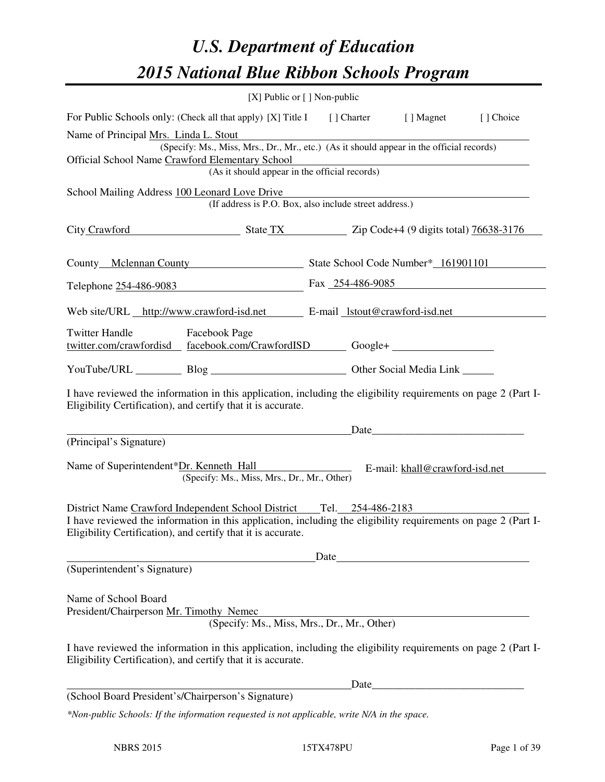# *U.S. Department of Education 2015 National Blue Ribbon Schools Program*

|                                                                                                                                                                                |                                                               | [X] Public or [] Non-public |  |           |  |  |  |
|--------------------------------------------------------------------------------------------------------------------------------------------------------------------------------|---------------------------------------------------------------|-----------------------------|--|-----------|--|--|--|
| For Public Schools only: (Check all that apply) [X] Title I [] Charter [] Magnet                                                                                               |                                                               |                             |  | [] Choice |  |  |  |
| Name of Principal Mrs. Linda L. Stout                                                                                                                                          |                                                               |                             |  |           |  |  |  |
| (Specify: Ms., Miss, Mrs., Dr., Mr., etc.) (As it should appear in the official records)<br>Official School Name Crawford Elementary School                                    |                                                               |                             |  |           |  |  |  |
| Elementary School<br>(As it should appear in the official records)                                                                                                             |                                                               |                             |  |           |  |  |  |
| School Mailing Address 100 Leonard Love Drive                                                                                                                                  |                                                               |                             |  |           |  |  |  |
|                                                                                                                                                                                | (If address is P.O. Box, also include street address.)        |                             |  |           |  |  |  |
|                                                                                                                                                                                | City Crawford State TX Zip Code+4 (9 digits total) 76638-3176 |                             |  |           |  |  |  |
| County Mclennan County State School Code Number* 161901101                                                                                                                     |                                                               |                             |  |           |  |  |  |
| Telephone 254-486-9083 Fax 254-486-9085                                                                                                                                        |                                                               |                             |  |           |  |  |  |
| Web site/URL http://www.crawford-isd.net E-mail lstout@crawford-isd.net                                                                                                        |                                                               |                             |  |           |  |  |  |
| <b>Twitter Handle</b><br><b>Facebook Page</b><br>twitter.com/crawfordisd facebook.com/CrawfordISD Google+                                                                      |                                                               |                             |  |           |  |  |  |
| YouTube/URL Blog Blog Discount Cher Social Media Link                                                                                                                          |                                                               |                             |  |           |  |  |  |
| I have reviewed the information in this application, including the eligibility requirements on page 2 (Part I-<br>Eligibility Certification), and certify that it is accurate. |                                                               |                             |  |           |  |  |  |
|                                                                                                                                                                                | <u> 1989 - Johann Barn, amerikansk politiker (d. 1989)</u>    |                             |  |           |  |  |  |
| (Principal's Signature)                                                                                                                                                        |                                                               |                             |  |           |  |  |  |
| Name of Superintendent*Dr. Kenneth Hall E-mail: khall@crawford-isd.net                                                                                                         | (Specify: Ms., Miss, Mrs., Dr., Mr., Other)                   |                             |  |           |  |  |  |
|                                                                                                                                                                                |                                                               |                             |  |           |  |  |  |
| I have reviewed the information in this application, including the eligibility requirements on page 2 (Part I-<br>Eligibility Certification), and certify that it is accurate. |                                                               |                             |  |           |  |  |  |
|                                                                                                                                                                                |                                                               | Date                        |  |           |  |  |  |
| (Superintendent's Signature)                                                                                                                                                   |                                                               |                             |  |           |  |  |  |
| Name of School Board<br>President/Chairperson Mr. Timothy Nemec                                                                                                                | (Specify: Ms., Miss, Mrs., Dr., Mr., Other)                   |                             |  |           |  |  |  |
| I have reviewed the information in this application, including the eligibility requirements on page 2 (Part I-<br>Eligibility Certification), and certify that it is accurate. |                                                               |                             |  |           |  |  |  |
|                                                                                                                                                                                |                                                               | Date                        |  |           |  |  |  |
| (School Board President's/Chairperson's Signature)<br>*Non-public Schools: If the information requested is not applicable, write N/A in the space.                             |                                                               |                             |  |           |  |  |  |
|                                                                                                                                                                                |                                                               |                             |  |           |  |  |  |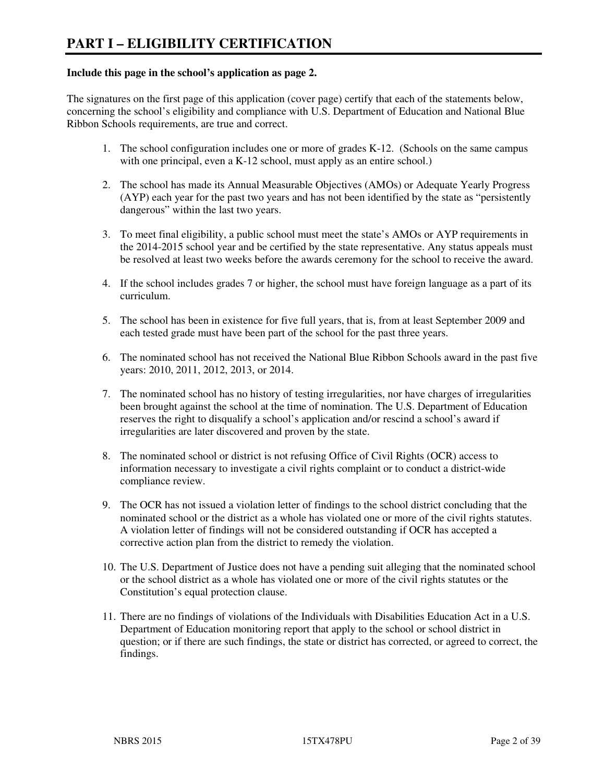#### **Include this page in the school's application as page 2.**

The signatures on the first page of this application (cover page) certify that each of the statements below, concerning the school's eligibility and compliance with U.S. Department of Education and National Blue Ribbon Schools requirements, are true and correct.

- 1. The school configuration includes one or more of grades K-12. (Schools on the same campus with one principal, even a K-12 school, must apply as an entire school.)
- 2. The school has made its Annual Measurable Objectives (AMOs) or Adequate Yearly Progress (AYP) each year for the past two years and has not been identified by the state as "persistently dangerous" within the last two years.
- 3. To meet final eligibility, a public school must meet the state's AMOs or AYP requirements in the 2014-2015 school year and be certified by the state representative. Any status appeals must be resolved at least two weeks before the awards ceremony for the school to receive the award.
- 4. If the school includes grades 7 or higher, the school must have foreign language as a part of its curriculum.
- 5. The school has been in existence for five full years, that is, from at least September 2009 and each tested grade must have been part of the school for the past three years.
- 6. The nominated school has not received the National Blue Ribbon Schools award in the past five years: 2010, 2011, 2012, 2013, or 2014.
- 7. The nominated school has no history of testing irregularities, nor have charges of irregularities been brought against the school at the time of nomination. The U.S. Department of Education reserves the right to disqualify a school's application and/or rescind a school's award if irregularities are later discovered and proven by the state.
- 8. The nominated school or district is not refusing Office of Civil Rights (OCR) access to information necessary to investigate a civil rights complaint or to conduct a district-wide compliance review.
- 9. The OCR has not issued a violation letter of findings to the school district concluding that the nominated school or the district as a whole has violated one or more of the civil rights statutes. A violation letter of findings will not be considered outstanding if OCR has accepted a corrective action plan from the district to remedy the violation.
- 10. The U.S. Department of Justice does not have a pending suit alleging that the nominated school or the school district as a whole has violated one or more of the civil rights statutes or the Constitution's equal protection clause.
- 11. There are no findings of violations of the Individuals with Disabilities Education Act in a U.S. Department of Education monitoring report that apply to the school or school district in question; or if there are such findings, the state or district has corrected, or agreed to correct, the findings.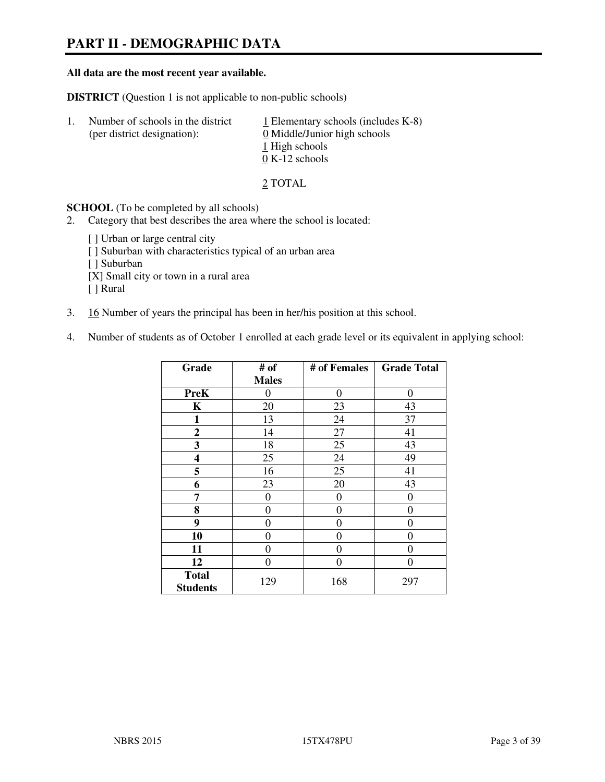# **PART II - DEMOGRAPHIC DATA**

#### **All data are the most recent year available.**

**DISTRICT** (Question 1 is not applicable to non-public schools)

| -1. | Number of schools in the district<br>(per district designation): | $\perp$ Elementary schools (includes K-8)<br>0 Middle/Junior high schools<br>1 High schools<br>$0 K-12$ schools |
|-----|------------------------------------------------------------------|-----------------------------------------------------------------------------------------------------------------|
|     |                                                                  |                                                                                                                 |

2 TOTAL

**SCHOOL** (To be completed by all schools)

- 2. Category that best describes the area where the school is located:
	- [] Urban or large central city [ ] Suburban with characteristics typical of an urban area [ ] Suburban [X] Small city or town in a rural area [ ] Rural
- 3. 16 Number of years the principal has been in her/his position at this school.
- 4. Number of students as of October 1 enrolled at each grade level or its equivalent in applying school:

| Grade                           | # of         | # of Females     | <b>Grade Total</b> |
|---------------------------------|--------------|------------------|--------------------|
|                                 | <b>Males</b> |                  |                    |
| <b>PreK</b>                     | 0            | $\boldsymbol{0}$ | 0                  |
| K                               | 20           | 23               | 43                 |
| 1                               | 13           | 24               | 37                 |
| $\boldsymbol{2}$                | 14           | 27               | 41                 |
| 3                               | 18           | 25               | 43                 |
| 4                               | 25           | 24               | 49                 |
| 5                               | 16           | 25               | 41                 |
| 6                               | 23           | 20               | 43                 |
| 7                               | 0            | $\theta$         | 0                  |
| 8                               | 0            | $\theta$         | 0                  |
| 9                               | 0            | 0                | 0                  |
| 10                              | 0            | 0                | 0                  |
| 11                              | 0            | 0                | 0                  |
| 12                              | 0            | 0                | 0                  |
| <b>Total</b><br><b>Students</b> | 129          | 168              | 297                |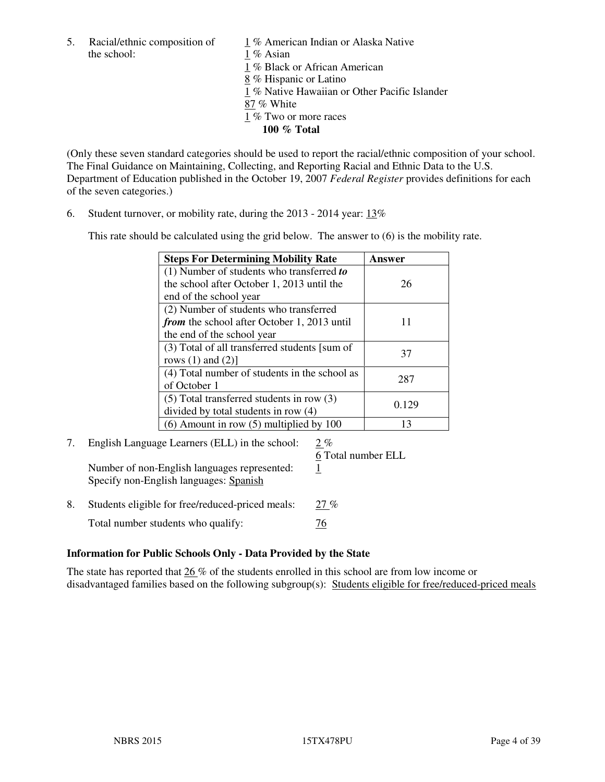the school: 1 % Asian

5. Racial/ethnic composition of  $1\%$  American Indian or Alaska Native

1 % Black or African American

8 % Hispanic or Latino

1 % Native Hawaiian or Other Pacific Islander

- 87 % White
- 1 % Two or more races
	- **100 % Total**

(Only these seven standard categories should be used to report the racial/ethnic composition of your school. The Final Guidance on Maintaining, Collecting, and Reporting Racial and Ethnic Data to the U.S. Department of Education published in the October 19, 2007 *Federal Register* provides definitions for each of the seven categories.)

6. Student turnover, or mobility rate, during the 2013 - 2014 year: 13%

This rate should be calculated using the grid below. The answer to (6) is the mobility rate.

| <b>Steps For Determining Mobility Rate</b>         | Answer |
|----------------------------------------------------|--------|
| $(1)$ Number of students who transferred to        |        |
| the school after October 1, 2013 until the         | 26     |
| end of the school year                             |        |
| (2) Number of students who transferred             |        |
| <i>from</i> the school after October 1, 2013 until | 11     |
| the end of the school year                         |        |
| (3) Total of all transferred students [sum of      | 37     |
| rows $(1)$ and $(2)$ ]                             |        |
| (4) Total number of students in the school as      | 287    |
| of October 1                                       |        |
| $(5)$ Total transferred students in row $(3)$      |        |
| divided by total students in row (4)               | 0.129  |
| $(6)$ Amount in row $(5)$ multiplied by 100        | 13     |

# 7. English Language Learners (ELL) in the school: 2 %

Number of non-English languages represented: 1 Specify non-English languages: Spanish

6 Total number ELL

8. Students eligible for free/reduced-priced meals: 27 % Total number students who qualify:  $\frac{76}{6}$ 

# **Information for Public Schools Only - Data Provided by the State**

The state has reported that  $26\%$  of the students enrolled in this school are from low income or disadvantaged families based on the following subgroup(s): Students eligible for free/reduced-priced meals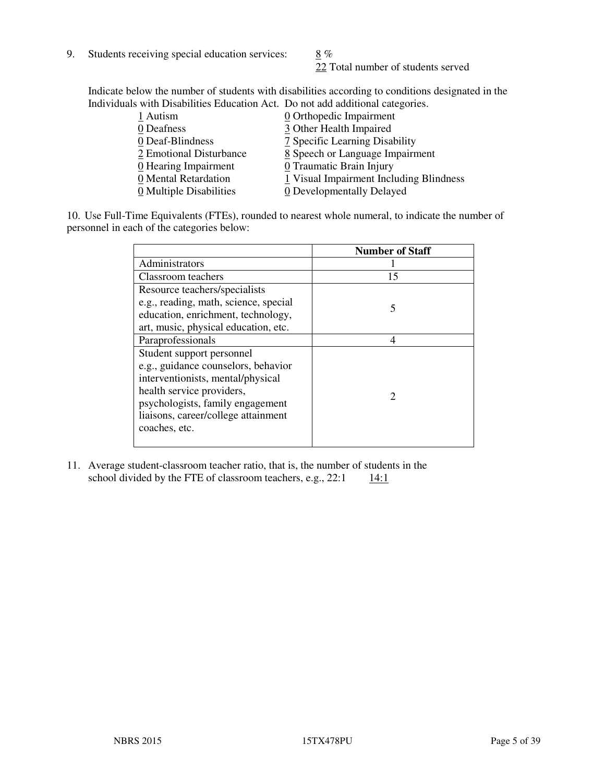9. Students receiving special education services:  $8\%$ 

22 Total number of students served

Indicate below the number of students with disabilities according to conditions designated in the Individuals with Disabilities Education Act. Do not add additional categories.

| 0 Orthopedic Impairment                 |
|-----------------------------------------|
| 3 Other Health Impaired                 |
| 7 Specific Learning Disability          |
| 8 Speech or Language Impairment         |
| 0 Traumatic Brain Injury                |
| 1 Visual Impairment Including Blindness |
| 0 Developmentally Delayed               |
|                                         |

10. Use Full-Time Equivalents (FTEs), rounded to nearest whole numeral, to indicate the number of personnel in each of the categories below:

|                                       | <b>Number of Staff</b> |
|---------------------------------------|------------------------|
| Administrators                        |                        |
| Classroom teachers                    | 15                     |
| Resource teachers/specialists         |                        |
| e.g., reading, math, science, special | 5                      |
| education, enrichment, technology,    |                        |
| art, music, physical education, etc.  |                        |
| Paraprofessionals                     | 4                      |
| Student support personnel             |                        |
| e.g., guidance counselors, behavior   |                        |
| interventionists, mental/physical     |                        |
| health service providers,             | 2                      |
| psychologists, family engagement      |                        |
| liaisons, career/college attainment   |                        |
| coaches, etc.                         |                        |
|                                       |                        |

11. Average student-classroom teacher ratio, that is, the number of students in the school divided by the FTE of classroom teachers, e.g.,  $22:1 \qquad \underline{14:1}$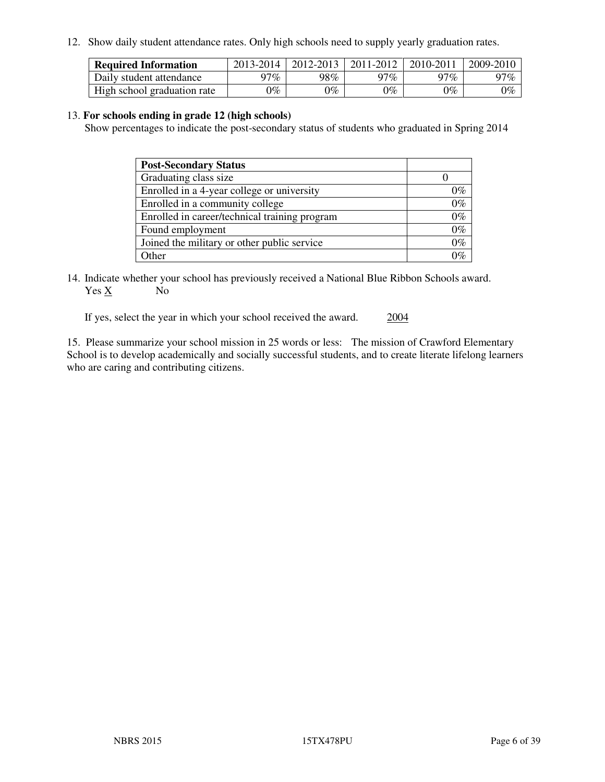12. Show daily student attendance rates. Only high schools need to supply yearly graduation rates.

| <b>Required Information</b> | 2013-2014       | 2012-2013 | 2011-2012 | 2010-2011 | 2009-2010 |
|-----------------------------|-----------------|-----------|-----------|-----------|-----------|
| Daily student attendance    | 97%             | 98%       | 97%       | $27\%$    | 97%       |
| High school graduation rate | $\mathcal{V}_o$ | 9%        | $0\%$     | 0%        | 0%        |

#### 13. **For schools ending in grade 12 (high schools)**

Show percentages to indicate the post-secondary status of students who graduated in Spring 2014

| <b>Post-Secondary Status</b>                  |       |
|-----------------------------------------------|-------|
| Graduating class size                         |       |
| Enrolled in a 4-year college or university    | 0%    |
| Enrolled in a community college               | $0\%$ |
| Enrolled in career/technical training program | $0\%$ |
| Found employment                              | $0\%$ |
| Joined the military or other public service   | $0\%$ |
| Other                                         | ገር/   |

14. Indicate whether your school has previously received a National Blue Ribbon Schools award. Yes X No

If yes, select the year in which your school received the award. 2004

15. Please summarize your school mission in 25 words or less: The mission of Crawford Elementary School is to develop academically and socially successful students, and to create literate lifelong learners who are caring and contributing citizens.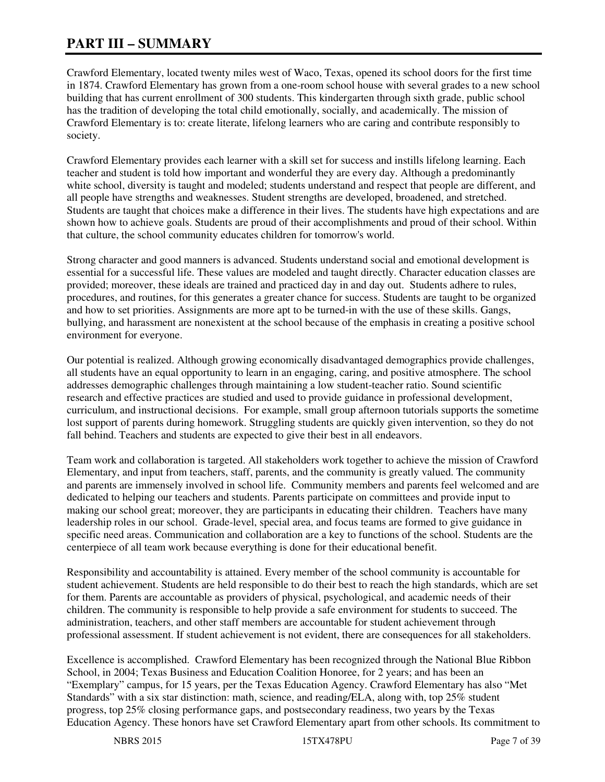# **PART III – SUMMARY**

Crawford Elementary, located twenty miles west of Waco, Texas, opened its school doors for the first time in 1874. Crawford Elementary has grown from a one-room school house with several grades to a new school building that has current enrollment of 300 students. This kindergarten through sixth grade, public school has the tradition of developing the total child emotionally, socially, and academically. The mission of Crawford Elementary is to: create literate, lifelong learners who are caring and contribute responsibly to society.

Crawford Elementary provides each learner with a skill set for success and instills lifelong learning. Each teacher and student is told how important and wonderful they are every day. Although a predominantly white school, diversity is taught and modeled; students understand and respect that people are different, and all people have strengths and weaknesses. Student strengths are developed, broadened, and stretched. Students are taught that choices make a difference in their lives. The students have high expectations and are shown how to achieve goals. Students are proud of their accomplishments and proud of their school. Within that culture, the school community educates children for tomorrow's world.

Strong character and good manners is advanced. Students understand social and emotional development is essential for a successful life. These values are modeled and taught directly. Character education classes are provided; moreover, these ideals are trained and practiced day in and day out. Students adhere to rules, procedures, and routines, for this generates a greater chance for success. Students are taught to be organized and how to set priorities. Assignments are more apt to be turned-in with the use of these skills. Gangs, bullying, and harassment are nonexistent at the school because of the emphasis in creating a positive school environment for everyone.

Our potential is realized. Although growing economically disadvantaged demographics provide challenges, all students have an equal opportunity to learn in an engaging, caring, and positive atmosphere. The school addresses demographic challenges through maintaining a low student-teacher ratio. Sound scientific research and effective practices are studied and used to provide guidance in professional development, curriculum, and instructional decisions. For example, small group afternoon tutorials supports the sometime lost support of parents during homework. Struggling students are quickly given intervention, so they do not fall behind. Teachers and students are expected to give their best in all endeavors.

Team work and collaboration is targeted. All stakeholders work together to achieve the mission of Crawford Elementary, and input from teachers, staff, parents, and the community is greatly valued. The community and parents are immensely involved in school life. Community members and parents feel welcomed and are dedicated to helping our teachers and students. Parents participate on committees and provide input to making our school great; moreover, they are participants in educating their children. Teachers have many leadership roles in our school. Grade-level, special area, and focus teams are formed to give guidance in specific need areas. Communication and collaboration are a key to functions of the school. Students are the centerpiece of all team work because everything is done for their educational benefit.

Responsibility and accountability is attained. Every member of the school community is accountable for student achievement. Students are held responsible to do their best to reach the high standards, which are set for them. Parents are accountable as providers of physical, psychological, and academic needs of their children. The community is responsible to help provide a safe environment for students to succeed. The administration, teachers, and other staff members are accountable for student achievement through professional assessment. If student achievement is not evident, there are consequences for all stakeholders.

Excellence is accomplished. Crawford Elementary has been recognized through the National Blue Ribbon School, in 2004; Texas Business and Education Coalition Honoree, for 2 years; and has been an "Exemplary" campus, for 15 years, per the Texas Education Agency. Crawford Elementary has also "Met Standards" with a six star distinction: math, science, and reading/ELA, along with, top 25% student progress, top 25% closing performance gaps, and postsecondary readiness, two years by the Texas Education Agency. These honors have set Crawford Elementary apart from other schools. Its commitment to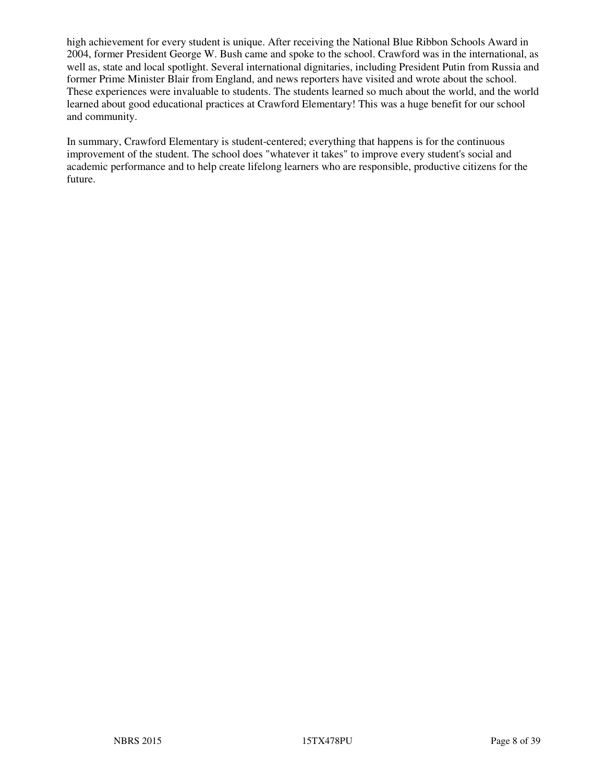high achievement for every student is unique. After receiving the National Blue Ribbon Schools Award in 2004, former President George W. Bush came and spoke to the school. Crawford was in the international, as well as, state and local spotlight. Several international dignitaries, including President Putin from Russia and former Prime Minister Blair from England, and news reporters have visited and wrote about the school. These experiences were invaluable to students. The students learned so much about the world, and the world learned about good educational practices at Crawford Elementary! This was a huge benefit for our school and community.

In summary, Crawford Elementary is student-centered; everything that happens is for the continuous improvement of the student. The school does "whatever it takes" to improve every student's social and academic performance and to help create lifelong learners who are responsible, productive citizens for the future.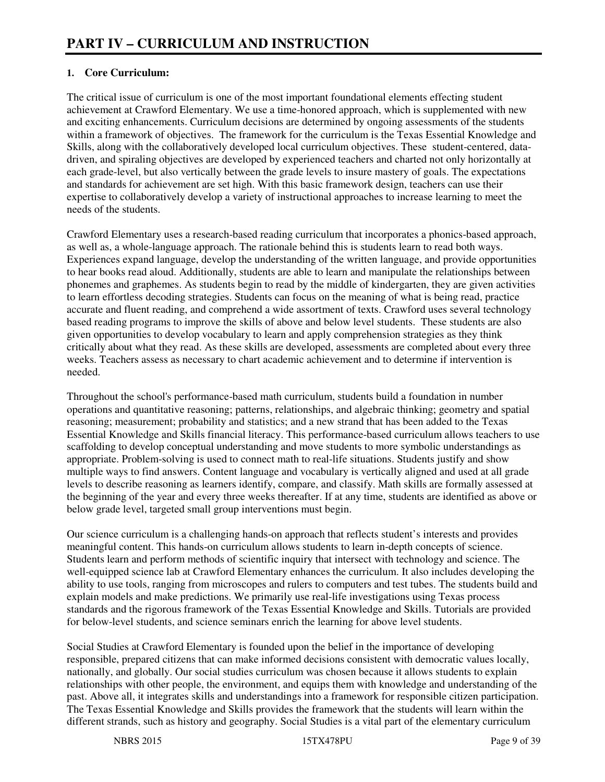#### **1. Core Curriculum:**

The critical issue of curriculum is one of the most important foundational elements effecting student achievement at Crawford Elementary. We use a time-honored approach, which is supplemented with new and exciting enhancements. Curriculum decisions are determined by ongoing assessments of the students within a framework of objectives. The framework for the curriculum is the Texas Essential Knowledge and Skills, along with the collaboratively developed local curriculum objectives. These student-centered, datadriven, and spiraling objectives are developed by experienced teachers and charted not only horizontally at each grade-level, but also vertically between the grade levels to insure mastery of goals. The expectations and standards for achievement are set high. With this basic framework design, teachers can use their expertise to collaboratively develop a variety of instructional approaches to increase learning to meet the needs of the students.

Crawford Elementary uses a research-based reading curriculum that incorporates a phonics-based approach, as well as, a whole-language approach. The rationale behind this is students learn to read both ways. Experiences expand language, develop the understanding of the written language, and provide opportunities to hear books read aloud. Additionally, students are able to learn and manipulate the relationships between phonemes and graphemes. As students begin to read by the middle of kindergarten, they are given activities to learn effortless decoding strategies. Students can focus on the meaning of what is being read, practice accurate and fluent reading, and comprehend a wide assortment of texts. Crawford uses several technology based reading programs to improve the skills of above and below level students. These students are also given opportunities to develop vocabulary to learn and apply comprehension strategies as they think critically about what they read. As these skills are developed, assessments are completed about every three weeks. Teachers assess as necessary to chart academic achievement and to determine if intervention is needed.

Throughout the school's performance-based math curriculum, students build a foundation in number operations and quantitative reasoning; patterns, relationships, and algebraic thinking; geometry and spatial reasoning; measurement; probability and statistics; and a new strand that has been added to the Texas Essential Knowledge and Skills financial literacy. This performance-based curriculum allows teachers to use scaffolding to develop conceptual understanding and move students to more symbolic understandings as appropriate. Problem-solving is used to connect math to real-life situations. Students justify and show multiple ways to find answers. Content language and vocabulary is vertically aligned and used at all grade levels to describe reasoning as learners identify, compare, and classify. Math skills are formally assessed at the beginning of the year and every three weeks thereafter. If at any time, students are identified as above or below grade level, targeted small group interventions must begin.

Our science curriculum is a challenging hands-on approach that reflects student's interests and provides meaningful content. This hands-on curriculum allows students to learn in-depth concepts of science. Students learn and perform methods of scientific inquiry that intersect with technology and science. The well-equipped science lab at Crawford Elementary enhances the curriculum. It also includes developing the ability to use tools, ranging from microscopes and rulers to computers and test tubes. The students build and explain models and make predictions. We primarily use real-life investigations using Texas process standards and the rigorous framework of the Texas Essential Knowledge and Skills. Tutorials are provided for below-level students, and science seminars enrich the learning for above level students.

Social Studies at Crawford Elementary is founded upon the belief in the importance of developing responsible, prepared citizens that can make informed decisions consistent with democratic values locally, nationally, and globally. Our social studies curriculum was chosen because it allows students to explain relationships with other people, the environment, and equips them with knowledge and understanding of the past. Above all, it integrates skills and understandings into a framework for responsible citizen participation. The Texas Essential Knowledge and Skills provides the framework that the students will learn within the different strands, such as history and geography. Social Studies is a vital part of the elementary curriculum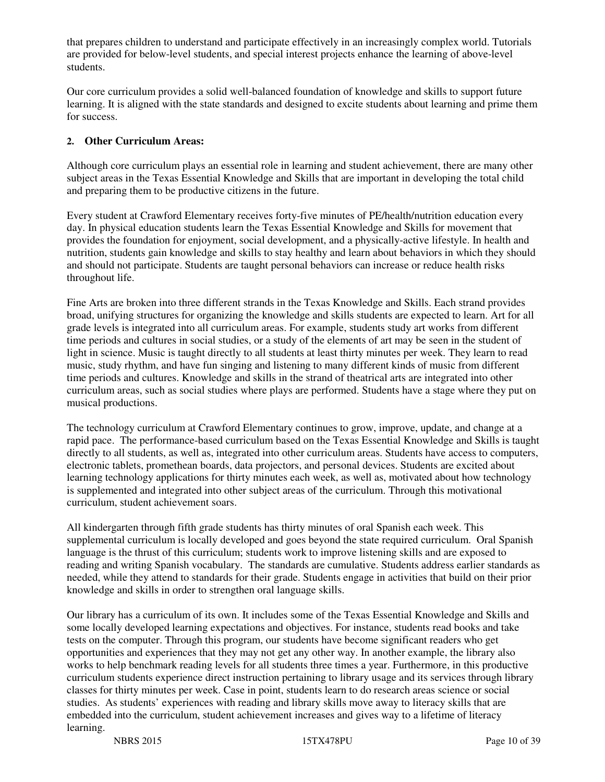that prepares children to understand and participate effectively in an increasingly complex world. Tutorials are provided for below-level students, and special interest projects enhance the learning of above-level students.

Our core curriculum provides a solid well-balanced foundation of knowledge and skills to support future learning. It is aligned with the state standards and designed to excite students about learning and prime them for success.

#### **2. Other Curriculum Areas:**

Although core curriculum plays an essential role in learning and student achievement, there are many other subject areas in the Texas Essential Knowledge and Skills that are important in developing the total child and preparing them to be productive citizens in the future.

Every student at Crawford Elementary receives forty-five minutes of PE/health/nutrition education every day. In physical education students learn the Texas Essential Knowledge and Skills for movement that provides the foundation for enjoyment, social development, and a physically-active lifestyle. In health and nutrition, students gain knowledge and skills to stay healthy and learn about behaviors in which they should and should not participate. Students are taught personal behaviors can increase or reduce health risks throughout life.

Fine Arts are broken into three different strands in the Texas Knowledge and Skills. Each strand provides broad, unifying structures for organizing the knowledge and skills students are expected to learn. Art for all grade levels is integrated into all curriculum areas. For example, students study art works from different time periods and cultures in social studies, or a study of the elements of art may be seen in the student of light in science. Music is taught directly to all students at least thirty minutes per week. They learn to read music, study rhythm, and have fun singing and listening to many different kinds of music from different time periods and cultures. Knowledge and skills in the strand of theatrical arts are integrated into other curriculum areas, such as social studies where plays are performed. Students have a stage where they put on musical productions.

The technology curriculum at Crawford Elementary continues to grow, improve, update, and change at a rapid pace. The performance-based curriculum based on the Texas Essential Knowledge and Skills is taught directly to all students, as well as, integrated into other curriculum areas. Students have access to computers, electronic tablets, promethean boards, data projectors, and personal devices. Students are excited about learning technology applications for thirty minutes each week, as well as, motivated about how technology is supplemented and integrated into other subject areas of the curriculum. Through this motivational curriculum, student achievement soars.

All kindergarten through fifth grade students has thirty minutes of oral Spanish each week. This supplemental curriculum is locally developed and goes beyond the state required curriculum. Oral Spanish language is the thrust of this curriculum; students work to improve listening skills and are exposed to reading and writing Spanish vocabulary. The standards are cumulative. Students address earlier standards as needed, while they attend to standards for their grade. Students engage in activities that build on their prior knowledge and skills in order to strengthen oral language skills.

Our library has a curriculum of its own. It includes some of the Texas Essential Knowledge and Skills and some locally developed learning expectations and objectives. For instance, students read books and take tests on the computer. Through this program, our students have become significant readers who get opportunities and experiences that they may not get any other way. In another example, the library also works to help benchmark reading levels for all students three times a year. Furthermore, in this productive curriculum students experience direct instruction pertaining to library usage and its services through library classes for thirty minutes per week. Case in point, students learn to do research areas science or social studies. As students' experiences with reading and library skills move away to literacy skills that are embedded into the curriculum, student achievement increases and gives way to a lifetime of literacy learning.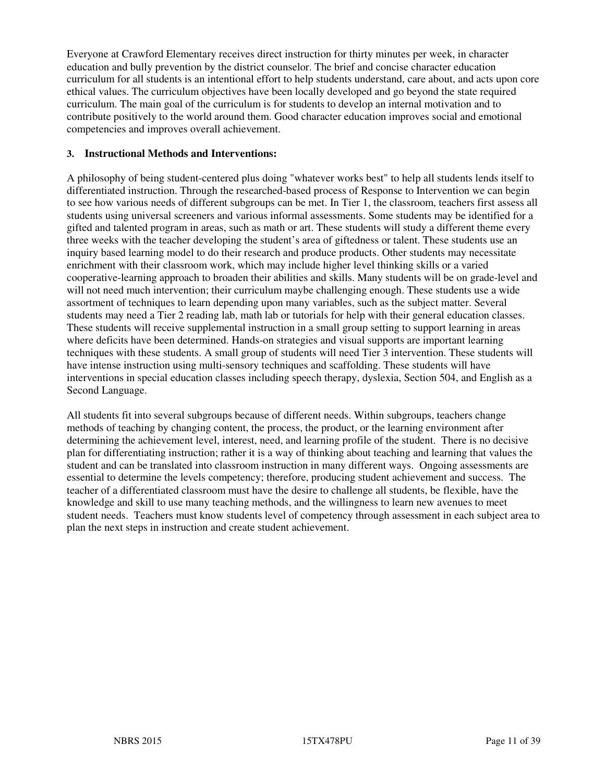Everyone at Crawford Elementary receives direct instruction for thirty minutes per week, in character education and bully prevention by the district counselor. The brief and concise character education curriculum for all students is an intentional effort to help students understand, care about, and acts upon core ethical values. The curriculum objectives have been locally developed and go beyond the state required curriculum. The main goal of the curriculum is for students to develop an internal motivation and to contribute positively to the world around them. Good character education improves social and emotional competencies and improves overall achievement.

#### **3. Instructional Methods and Interventions:**

A philosophy of being student-centered plus doing "whatever works best" to help all students lends itself to differentiated instruction. Through the researched-based process of Response to Intervention we can begin to see how various needs of different subgroups can be met. In Tier 1, the classroom, teachers first assess all students using universal screeners and various informal assessments. Some students may be identified for a gifted and talented program in areas, such as math or art. These students will study a different theme every three weeks with the teacher developing the student's area of giftedness or talent. These students use an inquiry based learning model to do their research and produce products. Other students may necessitate enrichment with their classroom work, which may include higher level thinking skills or a varied cooperative-learning approach to broaden their abilities and skills. Many students will be on grade-level and will not need much intervention; their curriculum maybe challenging enough. These students use a wide assortment of techniques to learn depending upon many variables, such as the subject matter. Several students may need a Tier 2 reading lab, math lab or tutorials for help with their general education classes. These students will receive supplemental instruction in a small group setting to support learning in areas where deficits have been determined. Hands-on strategies and visual supports are important learning techniques with these students. A small group of students will need Tier 3 intervention. These students will have intense instruction using multi-sensory techniques and scaffolding. These students will have interventions in special education classes including speech therapy, dyslexia, Section 504, and English as a Second Language.

All students fit into several subgroups because of different needs. Within subgroups, teachers change methods of teaching by changing content, the process, the product, or the learning environment after determining the achievement level, interest, need, and learning profile of the student. There is no decisive plan for differentiating instruction; rather it is a way of thinking about teaching and learning that values the student and can be translated into classroom instruction in many different ways. Ongoing assessments are essential to determine the levels competency; therefore, producing student achievement and success. The teacher of a differentiated classroom must have the desire to challenge all students, be flexible, have the knowledge and skill to use many teaching methods, and the willingness to learn new avenues to meet student needs. Teachers must know students level of competency through assessment in each subject area to plan the next steps in instruction and create student achievement.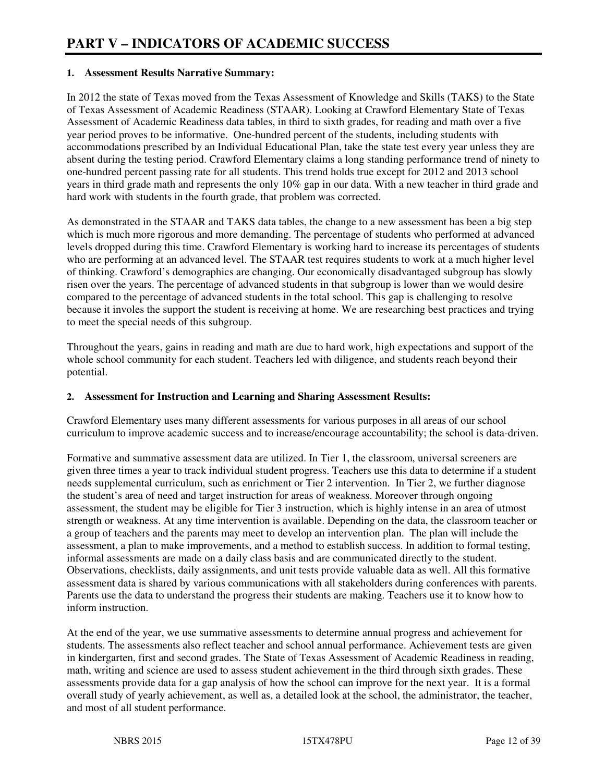#### **1. Assessment Results Narrative Summary:**

In 2012 the state of Texas moved from the Texas Assessment of Knowledge and Skills (TAKS) to the State of Texas Assessment of Academic Readiness (STAAR). Looking at Crawford Elementary State of Texas Assessment of Academic Readiness data tables, in third to sixth grades, for reading and math over a five year period proves to be informative. One-hundred percent of the students, including students with accommodations prescribed by an Individual Educational Plan, take the state test every year unless they are absent during the testing period. Crawford Elementary claims a long standing performance trend of ninety to one-hundred percent passing rate for all students. This trend holds true except for 2012 and 2013 school years in third grade math and represents the only 10% gap in our data. With a new teacher in third grade and hard work with students in the fourth grade, that problem was corrected.

As demonstrated in the STAAR and TAKS data tables, the change to a new assessment has been a big step which is much more rigorous and more demanding. The percentage of students who performed at advanced levels dropped during this time. Crawford Elementary is working hard to increase its percentages of students who are performing at an advanced level. The STAAR test requires students to work at a much higher level of thinking. Crawford's demographics are changing. Our economically disadvantaged subgroup has slowly risen over the years. The percentage of advanced students in that subgroup is lower than we would desire compared to the percentage of advanced students in the total school. This gap is challenging to resolve because it involes the support the student is receiving at home. We are researching best practices and trying to meet the special needs of this subgroup.

Throughout the years, gains in reading and math are due to hard work, high expectations and support of the whole school community for each student. Teachers led with diligence, and students reach beyond their potential.

#### **2. Assessment for Instruction and Learning and Sharing Assessment Results:**

Crawford Elementary uses many different assessments for various purposes in all areas of our school curriculum to improve academic success and to increase/encourage accountability; the school is data-driven.

Formative and summative assessment data are utilized. In Tier 1, the classroom, universal screeners are given three times a year to track individual student progress. Teachers use this data to determine if a student needs supplemental curriculum, such as enrichment or Tier 2 intervention. In Tier 2, we further diagnose the student's area of need and target instruction for areas of weakness. Moreover through ongoing assessment, the student may be eligible for Tier 3 instruction, which is highly intense in an area of utmost strength or weakness. At any time intervention is available. Depending on the data, the classroom teacher or a group of teachers and the parents may meet to develop an intervention plan. The plan will include the assessment, a plan to make improvements, and a method to establish success. In addition to formal testing, informal assessments are made on a daily class basis and are communicated directly to the student. Observations, checklists, daily assignments, and unit tests provide valuable data as well. All this formative assessment data is shared by various communications with all stakeholders during conferences with parents. Parents use the data to understand the progress their students are making. Teachers use it to know how to inform instruction.

At the end of the year, we use summative assessments to determine annual progress and achievement for students. The assessments also reflect teacher and school annual performance. Achievement tests are given in kindergarten, first and second grades. The State of Texas Assessment of Academic Readiness in reading, math, writing and science are used to assess student achievement in the third through sixth grades. These assessments provide data for a gap analysis of how the school can improve for the next year. It is a formal overall study of yearly achievement, as well as, a detailed look at the school, the administrator, the teacher, and most of all student performance.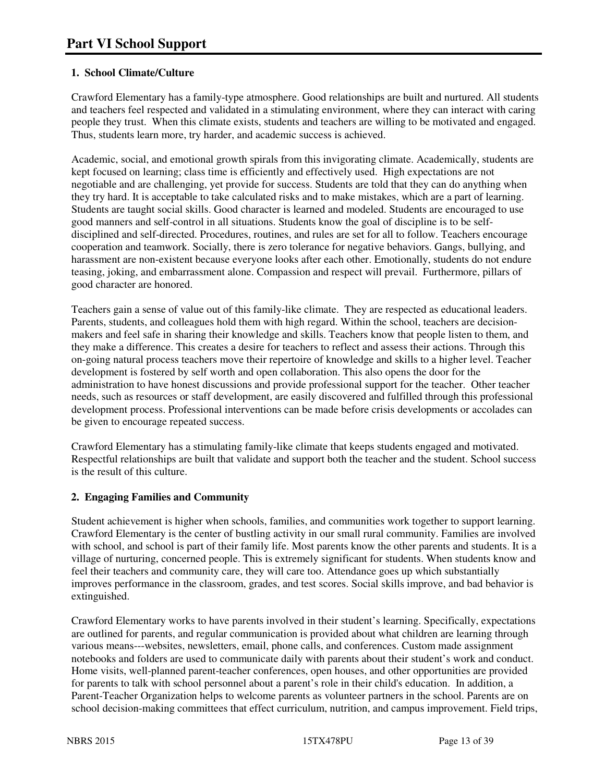#### **1. School Climate/Culture**

Crawford Elementary has a family-type atmosphere. Good relationships are built and nurtured. All students and teachers feel respected and validated in a stimulating environment, where they can interact with caring people they trust. When this climate exists, students and teachers are willing to be motivated and engaged. Thus, students learn more, try harder, and academic success is achieved.

Academic, social, and emotional growth spirals from this invigorating climate. Academically, students are kept focused on learning; class time is efficiently and effectively used. High expectations are not negotiable and are challenging, yet provide for success. Students are told that they can do anything when they try hard. It is acceptable to take calculated risks and to make mistakes, which are a part of learning. Students are taught social skills. Good character is learned and modeled. Students are encouraged to use good manners and self-control in all situations. Students know the goal of discipline is to be selfdisciplined and self-directed. Procedures, routines, and rules are set for all to follow. Teachers encourage cooperation and teamwork. Socially, there is zero tolerance for negative behaviors. Gangs, bullying, and harassment are non-existent because everyone looks after each other. Emotionally, students do not endure teasing, joking, and embarrassment alone. Compassion and respect will prevail. Furthermore, pillars of good character are honored.

Teachers gain a sense of value out of this family-like climate. They are respected as educational leaders. Parents, students, and colleagues hold them with high regard. Within the school, teachers are decisionmakers and feel safe in sharing their knowledge and skills. Teachers know that people listen to them, and they make a difference. This creates a desire for teachers to reflect and assess their actions. Through this on-going natural process teachers move their repertoire of knowledge and skills to a higher level. Teacher development is fostered by self worth and open collaboration. This also opens the door for the administration to have honest discussions and provide professional support for the teacher. Other teacher needs, such as resources or staff development, are easily discovered and fulfilled through this professional development process. Professional interventions can be made before crisis developments or accolades can be given to encourage repeated success.

Crawford Elementary has a stimulating family-like climate that keeps students engaged and motivated. Respectful relationships are built that validate and support both the teacher and the student. School success is the result of this culture.

#### **2. Engaging Families and Community**

Student achievement is higher when schools, families, and communities work together to support learning. Crawford Elementary is the center of bustling activity in our small rural community. Families are involved with school, and school is part of their family life. Most parents know the other parents and students. It is a village of nurturing, concerned people. This is extremely significant for students. When students know and feel their teachers and community care, they will care too. Attendance goes up which substantially improves performance in the classroom, grades, and test scores. Social skills improve, and bad behavior is extinguished.

Crawford Elementary works to have parents involved in their student's learning. Specifically, expectations are outlined for parents, and regular communication is provided about what children are learning through various means---websites, newsletters, email, phone calls, and conferences. Custom made assignment notebooks and folders are used to communicate daily with parents about their student's work and conduct. Home visits, well-planned parent-teacher conferences, open houses, and other opportunities are provided for parents to talk with school personnel about a parent's role in their child's education. In addition, a Parent-Teacher Organization helps to welcome parents as volunteer partners in the school. Parents are on school decision-making committees that effect curriculum, nutrition, and campus improvement. Field trips,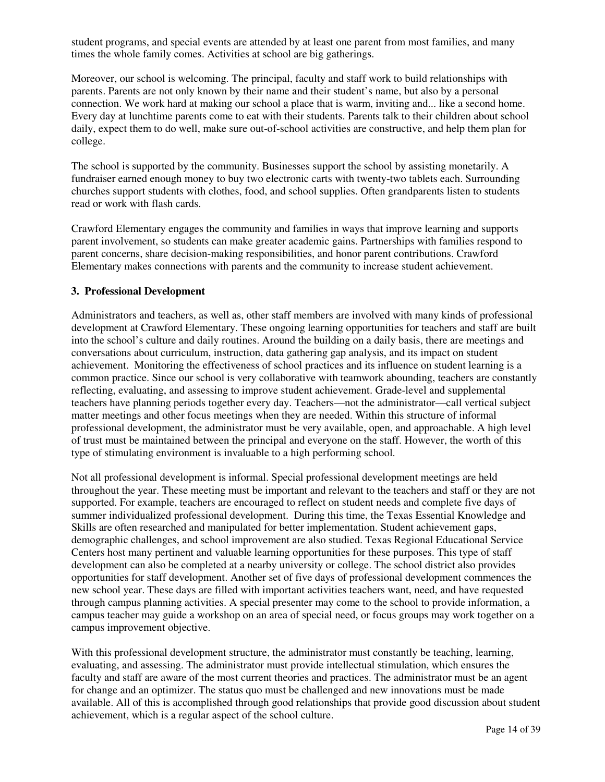student programs, and special events are attended by at least one parent from most families, and many times the whole family comes. Activities at school are big gatherings.

Moreover, our school is welcoming. The principal, faculty and staff work to build relationships with parents. Parents are not only known by their name and their student's name, but also by a personal connection. We work hard at making our school a place that is warm, inviting and... like a second home. Every day at lunchtime parents come to eat with their students. Parents talk to their children about school daily, expect them to do well, make sure out-of-school activities are constructive, and help them plan for college.

The school is supported by the community. Businesses support the school by assisting monetarily. A fundraiser earned enough money to buy two electronic carts with twenty-two tablets each. Surrounding churches support students with clothes, food, and school supplies. Often grandparents listen to students read or work with flash cards.

Crawford Elementary engages the community and families in ways that improve learning and supports parent involvement, so students can make greater academic gains. Partnerships with families respond to parent concerns, share decision-making responsibilities, and honor parent contributions. Crawford Elementary makes connections with parents and the community to increase student achievement.

#### **3. Professional Development**

Administrators and teachers, as well as, other staff members are involved with many kinds of professional development at Crawford Elementary. These ongoing learning opportunities for teachers and staff are built into the school's culture and daily routines. Around the building on a daily basis, there are meetings and conversations about curriculum, instruction, data gathering gap analysis, and its impact on student achievement. Monitoring the effectiveness of school practices and its influence on student learning is a common practice. Since our school is very collaborative with teamwork abounding, teachers are constantly reflecting, evaluating, and assessing to improve student achievement. Grade-level and supplemental teachers have planning periods together every day. Teachers—not the administrator—call vertical subject matter meetings and other focus meetings when they are needed. Within this structure of informal professional development, the administrator must be very available, open, and approachable. A high level of trust must be maintained between the principal and everyone on the staff. However, the worth of this type of stimulating environment is invaluable to a high performing school.

Not all professional development is informal. Special professional development meetings are held throughout the year. These meeting must be important and relevant to the teachers and staff or they are not supported. For example, teachers are encouraged to reflect on student needs and complete five days of summer individualized professional development. During this time, the Texas Essential Knowledge and Skills are often researched and manipulated for better implementation. Student achievement gaps, demographic challenges, and school improvement are also studied. Texas Regional Educational Service Centers host many pertinent and valuable learning opportunities for these purposes. This type of staff development can also be completed at a nearby university or college. The school district also provides opportunities for staff development. Another set of five days of professional development commences the new school year. These days are filled with important activities teachers want, need, and have requested through campus planning activities. A special presenter may come to the school to provide information, a campus teacher may guide a workshop on an area of special need, or focus groups may work together on a campus improvement objective.

With this professional development structure, the administrator must constantly be teaching, learning, evaluating, and assessing. The administrator must provide intellectual stimulation, which ensures the faculty and staff are aware of the most current theories and practices. The administrator must be an agent for change and an optimizer. The status quo must be challenged and new innovations must be made available. All of this is accomplished through good relationships that provide good discussion about student achievement, which is a regular aspect of the school culture.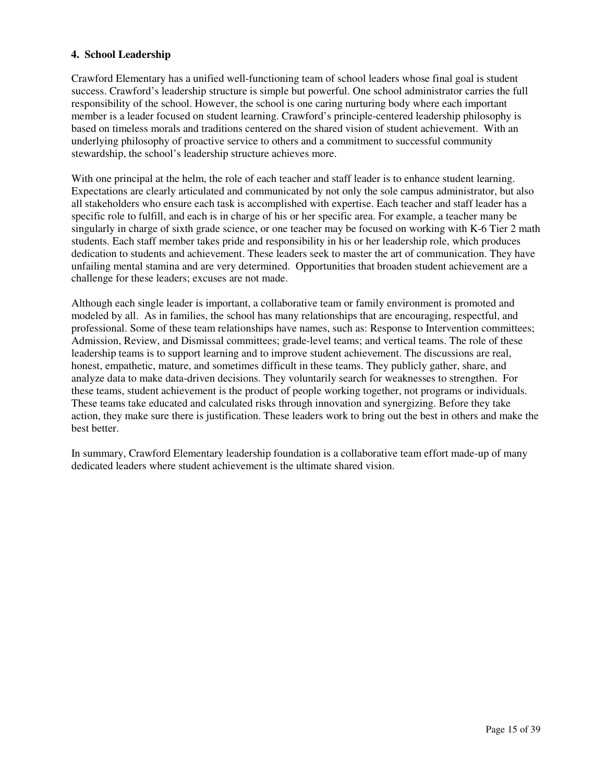#### **4. School Leadership**

Crawford Elementary has a unified well-functioning team of school leaders whose final goal is student success. Crawford's leadership structure is simple but powerful. One school administrator carries the full responsibility of the school. However, the school is one caring nurturing body where each important member is a leader focused on student learning. Crawford's principle-centered leadership philosophy is based on timeless morals and traditions centered on the shared vision of student achievement. With an underlying philosophy of proactive service to others and a commitment to successful community stewardship, the school's leadership structure achieves more.

With one principal at the helm, the role of each teacher and staff leader is to enhance student learning. Expectations are clearly articulated and communicated by not only the sole campus administrator, but also all stakeholders who ensure each task is accomplished with expertise. Each teacher and staff leader has a specific role to fulfill, and each is in charge of his or her specific area. For example, a teacher many be singularly in charge of sixth grade science, or one teacher may be focused on working with K-6 Tier 2 math students. Each staff member takes pride and responsibility in his or her leadership role, which produces dedication to students and achievement. These leaders seek to master the art of communication. They have unfailing mental stamina and are very determined. Opportunities that broaden student achievement are a challenge for these leaders; excuses are not made.

Although each single leader is important, a collaborative team or family environment is promoted and modeled by all. As in families, the school has many relationships that are encouraging, respectful, and professional. Some of these team relationships have names, such as: Response to Intervention committees; Admission, Review, and Dismissal committees; grade-level teams; and vertical teams. The role of these leadership teams is to support learning and to improve student achievement. The discussions are real, honest, empathetic, mature, and sometimes difficult in these teams. They publicly gather, share, and analyze data to make data-driven decisions. They voluntarily search for weaknesses to strengthen. For these teams, student achievement is the product of people working together, not programs or individuals. These teams take educated and calculated risks through innovation and synergizing. Before they take action, they make sure there is justification. These leaders work to bring out the best in others and make the best better.

In summary, Crawford Elementary leadership foundation is a collaborative team effort made-up of many dedicated leaders where student achievement is the ultimate shared vision.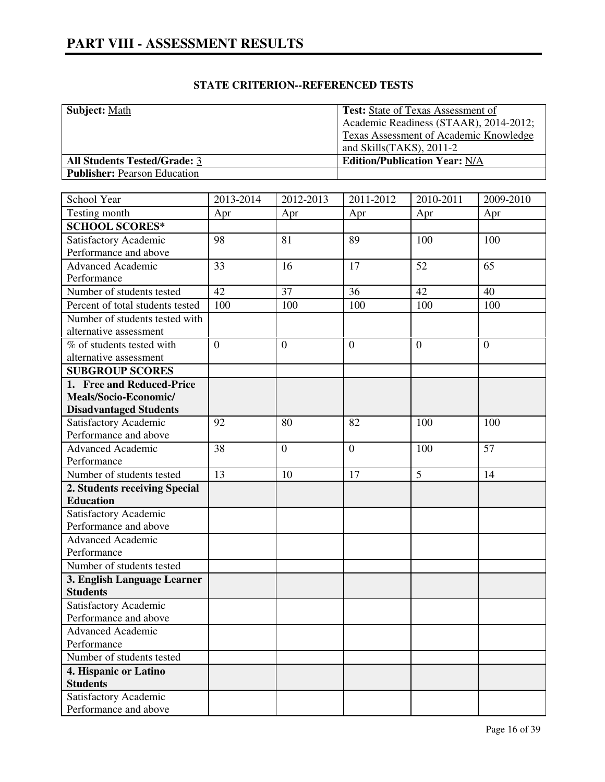| <b>Subject: Math</b>                | <b>Test:</b> State of Texas Assessment of |
|-------------------------------------|-------------------------------------------|
|                                     | Academic Readiness (STAAR), 2014-2012;    |
|                                     | Texas Assessment of Academic Knowledge    |
|                                     | and Skills $(TAKS)$ , 2011-2              |
| <b>All Students Tested/Grade: 3</b> | <b>Edition/Publication Year: N/A</b>      |
| <b>Publisher:</b> Pearson Education |                                           |

| School Year                                    | 2013-2014      | 2012-2013        | 2011-2012      | 2010-2011      | 2009-2010      |
|------------------------------------------------|----------------|------------------|----------------|----------------|----------------|
| Testing month                                  | Apr            | Apr              | Apr            | Apr            | Apr            |
| <b>SCHOOL SCORES*</b>                          |                |                  |                |                |                |
| Satisfactory Academic                          | 98             | 81               | 89             | 100            | 100            |
| Performance and above                          |                |                  |                |                |                |
| <b>Advanced Academic</b>                       | 33             | 16               | 17             | 52             | 65             |
| Performance                                    |                |                  |                |                |                |
| Number of students tested                      | 42             | 37               | 36             | 42             | 40             |
| Percent of total students tested               | 100            | 100              | 100            | 100            | 100            |
| Number of students tested with                 |                |                  |                |                |                |
| alternative assessment                         |                |                  |                |                |                |
| % of students tested with                      | $\overline{0}$ | $\boldsymbol{0}$ | $\overline{0}$ | $\overline{0}$ | $\overline{0}$ |
| alternative assessment                         |                |                  |                |                |                |
| <b>SUBGROUP SCORES</b>                         |                |                  |                |                |                |
| 1. Free and Reduced-Price                      |                |                  |                |                |                |
| Meals/Socio-Economic/                          |                |                  |                |                |                |
| <b>Disadvantaged Students</b>                  |                |                  |                |                |                |
| Satisfactory Academic                          | 92             | 80               | 82             | 100            | 100            |
| Performance and above                          |                |                  |                |                |                |
| Advanced Academic                              | 38             | $\boldsymbol{0}$ | $\overline{0}$ | 100            | 57             |
| Performance                                    |                |                  |                |                |                |
| Number of students tested                      | 13             | 10               | 17             | 5              | 14             |
| 2. Students receiving Special                  |                |                  |                |                |                |
| <b>Education</b>                               |                |                  |                |                |                |
| Satisfactory Academic                          |                |                  |                |                |                |
| Performance and above                          |                |                  |                |                |                |
| <b>Advanced Academic</b>                       |                |                  |                |                |                |
| Performance                                    |                |                  |                |                |                |
| Number of students tested                      |                |                  |                |                |                |
| 3. English Language Learner                    |                |                  |                |                |                |
| <b>Students</b>                                |                |                  |                |                |                |
| Satisfactory Academic<br>Performance and above |                |                  |                |                |                |
|                                                |                |                  |                |                |                |
| <b>Advanced Academic</b>                       |                |                  |                |                |                |
| Performance<br>Number of students tested       |                |                  |                |                |                |
|                                                |                |                  |                |                |                |
| 4. Hispanic or Latino<br><b>Students</b>       |                |                  |                |                |                |
|                                                |                |                  |                |                |                |
| Satisfactory Academic<br>Performance and above |                |                  |                |                |                |
|                                                |                |                  |                |                |                |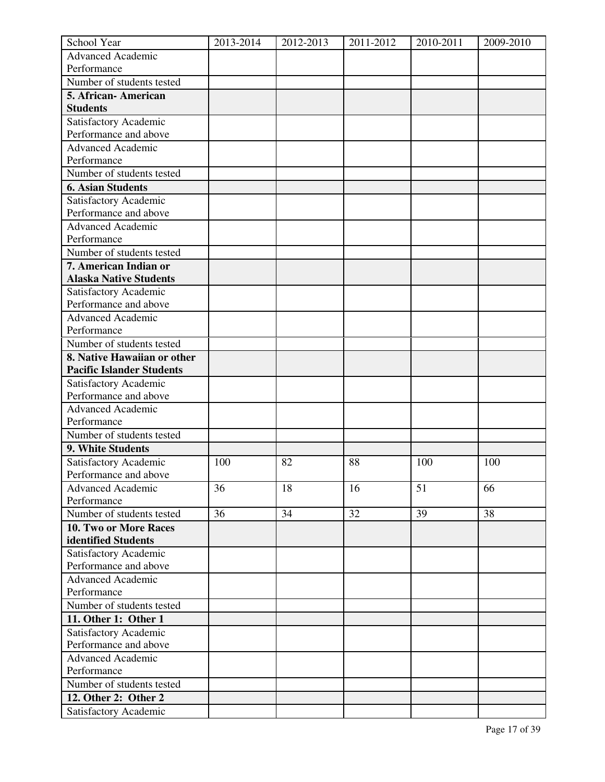| School Year                      | 2013-2014 | 2012-2013 | 2011-2012 | 2010-2011 | 2009-2010 |
|----------------------------------|-----------|-----------|-----------|-----------|-----------|
| <b>Advanced Academic</b>         |           |           |           |           |           |
| Performance                      |           |           |           |           |           |
| Number of students tested        |           |           |           |           |           |
| 5. African-American              |           |           |           |           |           |
| <b>Students</b>                  |           |           |           |           |           |
| Satisfactory Academic            |           |           |           |           |           |
| Performance and above            |           |           |           |           |           |
| <b>Advanced Academic</b>         |           |           |           |           |           |
| Performance                      |           |           |           |           |           |
| Number of students tested        |           |           |           |           |           |
| <b>6. Asian Students</b>         |           |           |           |           |           |
| Satisfactory Academic            |           |           |           |           |           |
| Performance and above            |           |           |           |           |           |
| <b>Advanced Academic</b>         |           |           |           |           |           |
| Performance                      |           |           |           |           |           |
| Number of students tested        |           |           |           |           |           |
| 7. American Indian or            |           |           |           |           |           |
| <b>Alaska Native Students</b>    |           |           |           |           |           |
| Satisfactory Academic            |           |           |           |           |           |
| Performance and above            |           |           |           |           |           |
| <b>Advanced Academic</b>         |           |           |           |           |           |
| Performance                      |           |           |           |           |           |
| Number of students tested        |           |           |           |           |           |
| 8. Native Hawaiian or other      |           |           |           |           |           |
| <b>Pacific Islander Students</b> |           |           |           |           |           |
| Satisfactory Academic            |           |           |           |           |           |
| Performance and above            |           |           |           |           |           |
| <b>Advanced Academic</b>         |           |           |           |           |           |
| Performance                      |           |           |           |           |           |
| Number of students tested        |           |           |           |           |           |
| 9. White Students                |           |           |           |           |           |
| Satisfactory Academic            | 100       | 82        | 88        | 100       | 100       |
| Performance and above            |           |           |           |           |           |
| <b>Advanced Academic</b>         | 36        | 18        | 16        | 51        | 66        |
| Performance                      |           |           |           |           |           |
| Number of students tested        | 36        | 34        | 32        | 39        | 38        |
| 10. Two or More Races            |           |           |           |           |           |
| identified Students              |           |           |           |           |           |
| Satisfactory Academic            |           |           |           |           |           |
| Performance and above            |           |           |           |           |           |
| <b>Advanced Academic</b>         |           |           |           |           |           |
| Performance                      |           |           |           |           |           |
| Number of students tested        |           |           |           |           |           |
| 11. Other 1: Other 1             |           |           |           |           |           |
| Satisfactory Academic            |           |           |           |           |           |
| Performance and above            |           |           |           |           |           |
| Advanced Academic                |           |           |           |           |           |
| Performance                      |           |           |           |           |           |
| Number of students tested        |           |           |           |           |           |
| 12. Other 2: Other 2             |           |           |           |           |           |
| Satisfactory Academic            |           |           |           |           |           |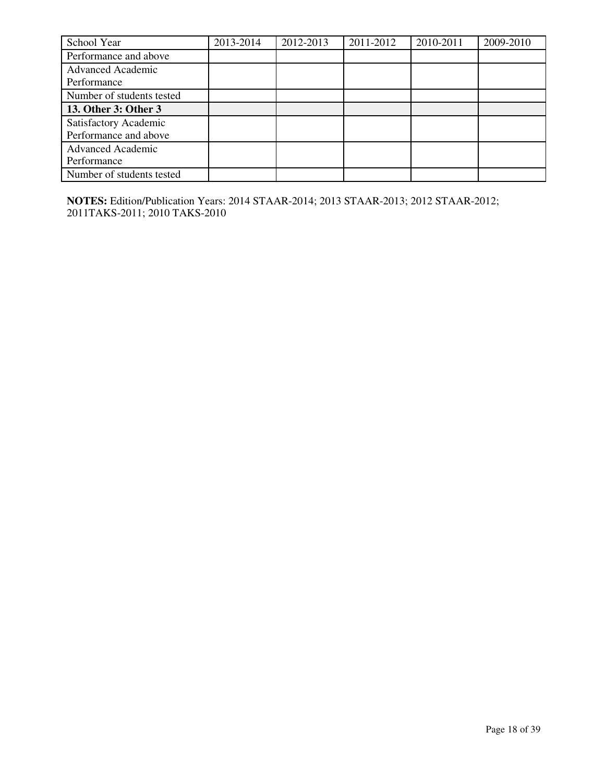| School Year               | 2013-2014 | 2012-2013 | 2011-2012 | 2010-2011 | 2009-2010 |
|---------------------------|-----------|-----------|-----------|-----------|-----------|
| Performance and above     |           |           |           |           |           |
| <b>Advanced Academic</b>  |           |           |           |           |           |
| Performance               |           |           |           |           |           |
| Number of students tested |           |           |           |           |           |
| 13. Other 3: Other 3      |           |           |           |           |           |
| Satisfactory Academic     |           |           |           |           |           |
| Performance and above     |           |           |           |           |           |
| <b>Advanced Academic</b>  |           |           |           |           |           |
| Performance               |           |           |           |           |           |
| Number of students tested |           |           |           |           |           |

**NOTES:** Edition/Publication Years: 2014 STAAR-2014; 2013 STAAR-2013; 2012 STAAR-2012; 2011TAKS-2011; 2010 TAKS-2010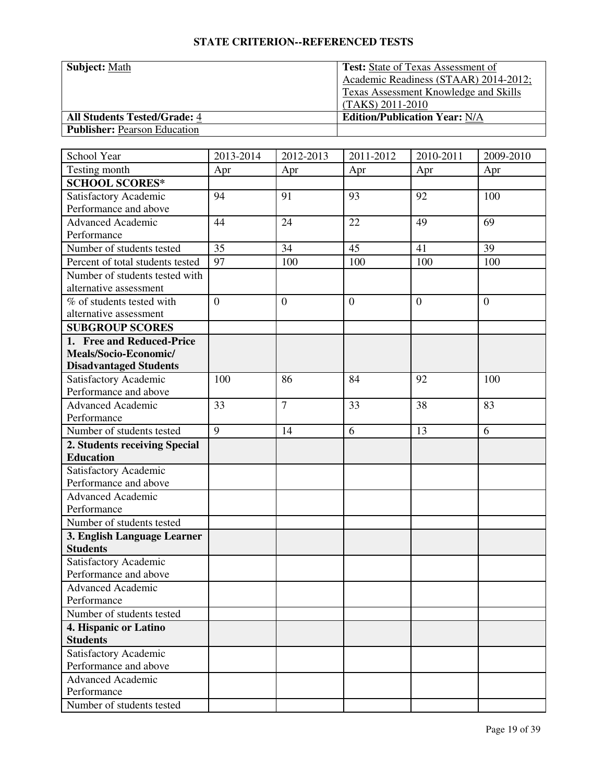| <b>Subject: Math</b>                | <b>Test:</b> State of Texas Assessment of    |
|-------------------------------------|----------------------------------------------|
|                                     | Academic Readiness (STAAR) 2014-2012;        |
|                                     | <b>Texas Assessment Knowledge and Skills</b> |
|                                     | (TAKS) 2011-2010                             |
| <b>All Students Tested/Grade: 4</b> | <b>Edition/Publication Year: N/A</b>         |
| <b>Publisher:</b> Pearson Education |                                              |

| School Year                      | 2013-2014      | 2012-2013      | 2011-2012        | 2010-2011 | 2009-2010      |
|----------------------------------|----------------|----------------|------------------|-----------|----------------|
| Testing month                    | Apr            | Apr            | Apr              | Apr       | Apr            |
| <b>SCHOOL SCORES*</b>            |                |                |                  |           |                |
| Satisfactory Academic            | 94             | 91             | 93               | 92        | 100            |
| Performance and above            |                |                |                  |           |                |
| <b>Advanced Academic</b>         | 44             | 24             | 22               | 49        | 69             |
| Performance                      |                |                |                  |           |                |
| Number of students tested        | 35             | 34             | 45               | 41        | 39             |
| Percent of total students tested | 97             | 100            | 100              | 100       | 100            |
| Number of students tested with   |                |                |                  |           |                |
| alternative assessment           |                |                |                  |           |                |
| % of students tested with        | $\overline{0}$ | $\mathbf{0}$   | $\boldsymbol{0}$ | $\theta$  | $\overline{0}$ |
| alternative assessment           |                |                |                  |           |                |
| <b>SUBGROUP SCORES</b>           |                |                |                  |           |                |
| 1. Free and Reduced-Price        |                |                |                  |           |                |
| Meals/Socio-Economic/            |                |                |                  |           |                |
| <b>Disadvantaged Students</b>    |                |                |                  |           |                |
| Satisfactory Academic            | 100            | 86             | 84               | 92        | 100            |
| Performance and above            |                |                |                  |           |                |
| <b>Advanced Academic</b>         | 33             | $\overline{7}$ | 33               | 38        | 83             |
| Performance                      |                |                |                  |           |                |
| Number of students tested        | 9              | 14             | 6                | 13        | 6              |
| 2. Students receiving Special    |                |                |                  |           |                |
| <b>Education</b>                 |                |                |                  |           |                |
| Satisfactory Academic            |                |                |                  |           |                |
| Performance and above            |                |                |                  |           |                |
| <b>Advanced Academic</b>         |                |                |                  |           |                |
| Performance                      |                |                |                  |           |                |
| Number of students tested        |                |                |                  |           |                |
| 3. English Language Learner      |                |                |                  |           |                |
| <b>Students</b>                  |                |                |                  |           |                |
| Satisfactory Academic            |                |                |                  |           |                |
| Performance and above            |                |                |                  |           |                |
| Advanced Academic                |                |                |                  |           |                |
| Performance                      |                |                |                  |           |                |
| Number of students tested        |                |                |                  |           |                |
| 4. Hispanic or Latino            |                |                |                  |           |                |
| <b>Students</b>                  |                |                |                  |           |                |
| Satisfactory Academic            |                |                |                  |           |                |
| Performance and above            |                |                |                  |           |                |
| <b>Advanced Academic</b>         |                |                |                  |           |                |
| Performance                      |                |                |                  |           |                |
| Number of students tested        |                |                |                  |           |                |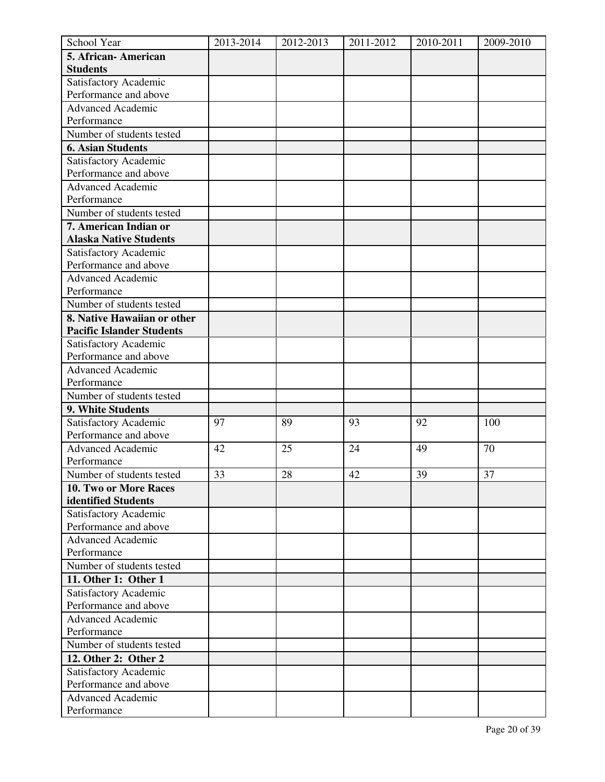| School Year                      | 2013-2014 | 2012-2013 | 2011-2012 | 2010-2011 | 2009-2010 |
|----------------------------------|-----------|-----------|-----------|-----------|-----------|
| 5. African-American              |           |           |           |           |           |
| <b>Students</b>                  |           |           |           |           |           |
| Satisfactory Academic            |           |           |           |           |           |
| Performance and above            |           |           |           |           |           |
| <b>Advanced Academic</b>         |           |           |           |           |           |
| Performance                      |           |           |           |           |           |
| Number of students tested        |           |           |           |           |           |
| <b>6. Asian Students</b>         |           |           |           |           |           |
| Satisfactory Academic            |           |           |           |           |           |
| Performance and above            |           |           |           |           |           |
| <b>Advanced Academic</b>         |           |           |           |           |           |
| Performance                      |           |           |           |           |           |
| Number of students tested        |           |           |           |           |           |
| 7. American Indian or            |           |           |           |           |           |
| <b>Alaska Native Students</b>    |           |           |           |           |           |
| Satisfactory Academic            |           |           |           |           |           |
| Performance and above            |           |           |           |           |           |
| <b>Advanced Academic</b>         |           |           |           |           |           |
| Performance                      |           |           |           |           |           |
| Number of students tested        |           |           |           |           |           |
| 8. Native Hawaiian or other      |           |           |           |           |           |
| <b>Pacific Islander Students</b> |           |           |           |           |           |
| Satisfactory Academic            |           |           |           |           |           |
| Performance and above            |           |           |           |           |           |
| <b>Advanced Academic</b>         |           |           |           |           |           |
| Performance                      |           |           |           |           |           |
| Number of students tested        |           |           |           |           |           |
| 9. White Students                |           |           |           |           |           |
| Satisfactory Academic            | 97        | 89        | 93        | 92        | 100       |
| Performance and above            |           |           |           |           |           |
| <b>Advanced Academic</b>         | 42        | 25        | 24        | 49        | 70        |
| Performance                      |           |           |           |           |           |
| Number of students tested        | 33        | 28        | 42        | 39        | 37        |
| 10. Two or More Races            |           |           |           |           |           |
| identified Students              |           |           |           |           |           |
| Satisfactory Academic            |           |           |           |           |           |
| Performance and above            |           |           |           |           |           |
| <b>Advanced Academic</b>         |           |           |           |           |           |
| Performance                      |           |           |           |           |           |
| Number of students tested        |           |           |           |           |           |
| 11. Other 1: Other 1             |           |           |           |           |           |
| Satisfactory Academic            |           |           |           |           |           |
| Performance and above            |           |           |           |           |           |
| <b>Advanced Academic</b>         |           |           |           |           |           |
| Performance                      |           |           |           |           |           |
| Number of students tested        |           |           |           |           |           |
| 12. Other 2: Other 2             |           |           |           |           |           |
| Satisfactory Academic            |           |           |           |           |           |
| Performance and above            |           |           |           |           |           |
| <b>Advanced Academic</b>         |           |           |           |           |           |
| Performance                      |           |           |           |           |           |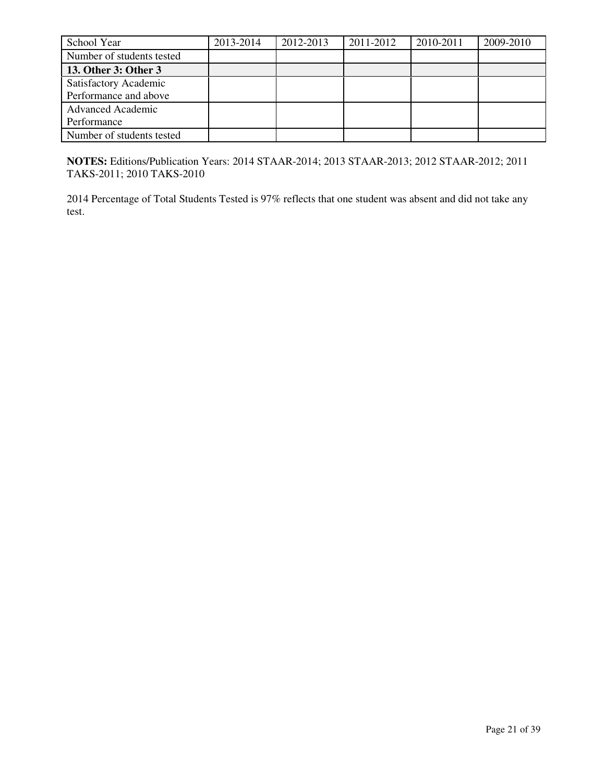| School Year               | 2013-2014 | 2012-2013 | 2011-2012 | 2010-2011 | 2009-2010 |
|---------------------------|-----------|-----------|-----------|-----------|-----------|
| Number of students tested |           |           |           |           |           |
| 13. Other 3: Other 3      |           |           |           |           |           |
| Satisfactory Academic     |           |           |           |           |           |
| Performance and above     |           |           |           |           |           |
| <b>Advanced Academic</b>  |           |           |           |           |           |
| Performance               |           |           |           |           |           |
| Number of students tested |           |           |           |           |           |

**NOTES:** Editions/Publication Years: 2014 STAAR-2014; 2013 STAAR-2013; 2012 STAAR-2012; 2011 TAKS-2011; 2010 TAKS-2010

2014 Percentage of Total Students Tested is 97% reflects that one student was absent and did not take any test.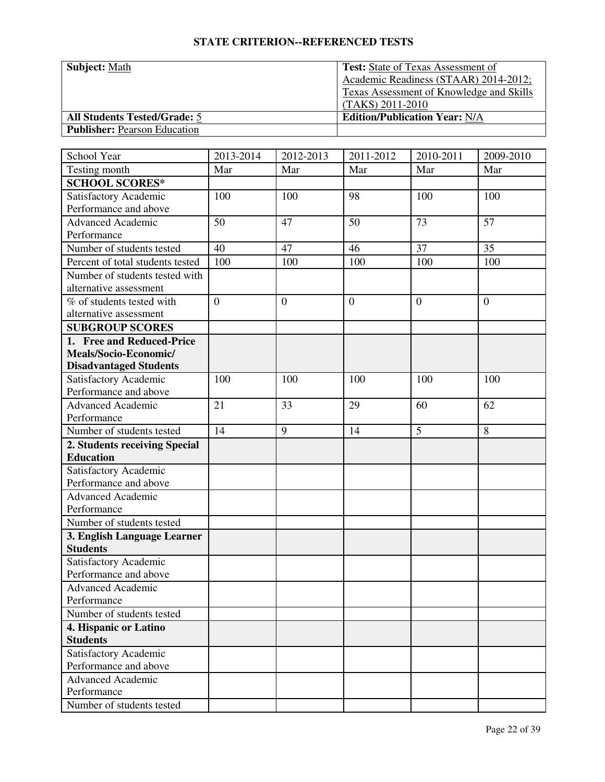| <b>Subject: Math</b>                | <b>Test:</b> State of Texas Assessment of       |
|-------------------------------------|-------------------------------------------------|
|                                     | Academic Readiness (STAAR) 2014-2012;           |
|                                     | <b>Texas Assessment of Knowledge and Skills</b> |
|                                     | $(TAKS) 2011-2010$                              |
| <b>All Students Tested/Grade: 5</b> | <b>Edition/Publication Year: N/A</b>            |
| <b>Publisher: Pearson Education</b> |                                                 |

| School Year                      | 2013-2014      | 2012-2013        | 2011-2012        | 2010-2011    | 2009-2010        |
|----------------------------------|----------------|------------------|------------------|--------------|------------------|
| Testing month                    | Mar            | Mar              | Mar              | Mar          | Mar              |
| <b>SCHOOL SCORES*</b>            |                |                  |                  |              |                  |
| Satisfactory Academic            | 100            | 100              | 98               | 100          | 100              |
| Performance and above            |                |                  |                  |              |                  |
| <b>Advanced Academic</b>         | 50             | 47               | 50               | 73           | 57               |
| Performance                      |                |                  |                  |              |                  |
| Number of students tested        | 40             | 47               | 46               | 37           | 35               |
| Percent of total students tested | 100            | 100              | 100              | 100          | 100              |
| Number of students tested with   |                |                  |                  |              |                  |
| alternative assessment           |                |                  |                  |              |                  |
| % of students tested with        | $\overline{0}$ | $\boldsymbol{0}$ | $\boldsymbol{0}$ | $\mathbf{0}$ | $\boldsymbol{0}$ |
| alternative assessment           |                |                  |                  |              |                  |
| <b>SUBGROUP SCORES</b>           |                |                  |                  |              |                  |
| 1. Free and Reduced-Price        |                |                  |                  |              |                  |
| Meals/Socio-Economic/            |                |                  |                  |              |                  |
| <b>Disadvantaged Students</b>    |                |                  |                  |              |                  |
| Satisfactory Academic            | 100            | 100              | 100              | 100          | 100              |
| Performance and above            |                |                  |                  |              |                  |
| <b>Advanced Academic</b>         | 21             | 33               | 29               | 60           | 62               |
| Performance                      |                |                  |                  |              |                  |
| Number of students tested        | 14             | 9                | 14               | 5            | 8                |
| 2. Students receiving Special    |                |                  |                  |              |                  |
| <b>Education</b>                 |                |                  |                  |              |                  |
| Satisfactory Academic            |                |                  |                  |              |                  |
| Performance and above            |                |                  |                  |              |                  |
| <b>Advanced Academic</b>         |                |                  |                  |              |                  |
| Performance                      |                |                  |                  |              |                  |
| Number of students tested        |                |                  |                  |              |                  |
| 3. English Language Learner      |                |                  |                  |              |                  |
| <b>Students</b>                  |                |                  |                  |              |                  |
| Satisfactory Academic            |                |                  |                  |              |                  |
| Performance and above            |                |                  |                  |              |                  |
| <b>Advanced Academic</b>         |                |                  |                  |              |                  |
| Performance                      |                |                  |                  |              |                  |
| Number of students tested        |                |                  |                  |              |                  |
| 4. Hispanic or Latino            |                |                  |                  |              |                  |
| <b>Students</b>                  |                |                  |                  |              |                  |
| Satisfactory Academic            |                |                  |                  |              |                  |
| Performance and above            |                |                  |                  |              |                  |
| <b>Advanced Academic</b>         |                |                  |                  |              |                  |
| Performance                      |                |                  |                  |              |                  |
| Number of students tested        |                |                  |                  |              |                  |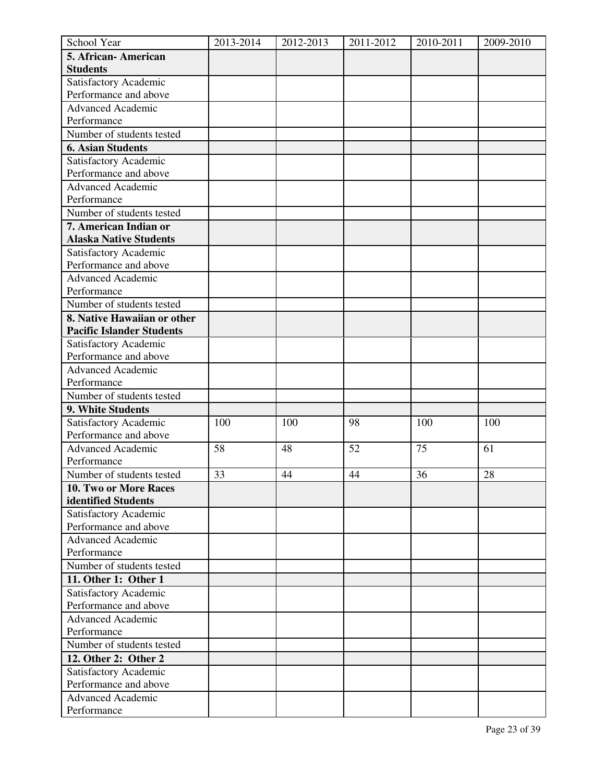| School Year                      | 2013-2014 | 2012-2013 | 2011-2012 | 2010-2011 | 2009-2010 |
|----------------------------------|-----------|-----------|-----------|-----------|-----------|
| 5. African-American              |           |           |           |           |           |
| <b>Students</b>                  |           |           |           |           |           |
| Satisfactory Academic            |           |           |           |           |           |
| Performance and above            |           |           |           |           |           |
| <b>Advanced Academic</b>         |           |           |           |           |           |
| Performance                      |           |           |           |           |           |
| Number of students tested        |           |           |           |           |           |
| <b>6. Asian Students</b>         |           |           |           |           |           |
| Satisfactory Academic            |           |           |           |           |           |
| Performance and above            |           |           |           |           |           |
| <b>Advanced Academic</b>         |           |           |           |           |           |
| Performance                      |           |           |           |           |           |
| Number of students tested        |           |           |           |           |           |
| 7. American Indian or            |           |           |           |           |           |
| <b>Alaska Native Students</b>    |           |           |           |           |           |
| Satisfactory Academic            |           |           |           |           |           |
| Performance and above            |           |           |           |           |           |
| <b>Advanced Academic</b>         |           |           |           |           |           |
| Performance                      |           |           |           |           |           |
| Number of students tested        |           |           |           |           |           |
| 8. Native Hawaiian or other      |           |           |           |           |           |
| <b>Pacific Islander Students</b> |           |           |           |           |           |
| Satisfactory Academic            |           |           |           |           |           |
| Performance and above            |           |           |           |           |           |
| <b>Advanced Academic</b>         |           |           |           |           |           |
| Performance                      |           |           |           |           |           |
| Number of students tested        |           |           |           |           |           |
| 9. White Students                |           |           |           |           |           |
| Satisfactory Academic            | 100       | 100       | 98        | 100       | 100       |
| Performance and above            |           |           |           |           |           |
| <b>Advanced Academic</b>         | 58        | 48        | 52        | 75        | 61        |
| Performance                      |           |           |           |           |           |
| Number of students tested        | 33        | 44        | 44        | 36        | 28        |
| 10. Two or More Races            |           |           |           |           |           |
| identified Students              |           |           |           |           |           |
| Satisfactory Academic            |           |           |           |           |           |
| Performance and above            |           |           |           |           |           |
| <b>Advanced Academic</b>         |           |           |           |           |           |
| Performance                      |           |           |           |           |           |
| Number of students tested        |           |           |           |           |           |
| 11. Other 1: Other 1             |           |           |           |           |           |
| Satisfactory Academic            |           |           |           |           |           |
| Performance and above            |           |           |           |           |           |
| <b>Advanced Academic</b>         |           |           |           |           |           |
| Performance                      |           |           |           |           |           |
| Number of students tested        |           |           |           |           |           |
| 12. Other 2: Other 2             |           |           |           |           |           |
| Satisfactory Academic            |           |           |           |           |           |
| Performance and above            |           |           |           |           |           |
| <b>Advanced Academic</b>         |           |           |           |           |           |
| Performance                      |           |           |           |           |           |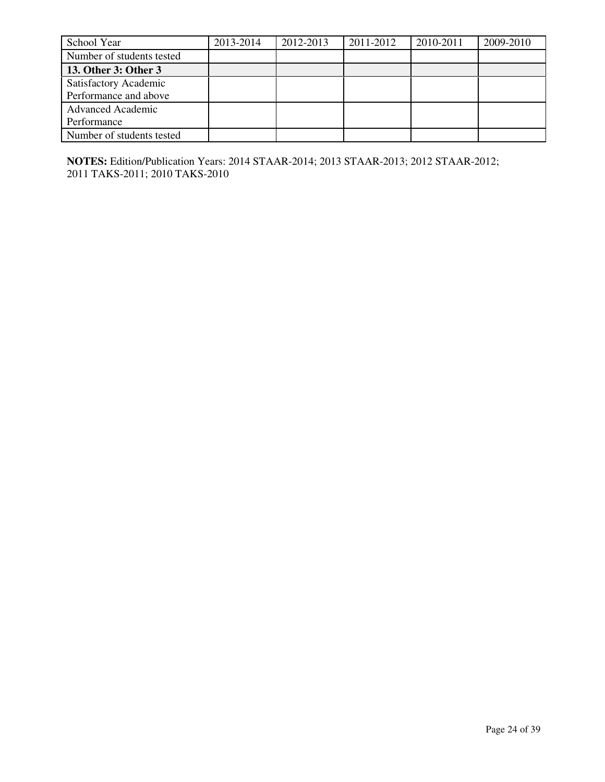| School Year               | 2013-2014 | 2012-2013 | 2011-2012 | 2010-2011 | 2009-2010 |
|---------------------------|-----------|-----------|-----------|-----------|-----------|
| Number of students tested |           |           |           |           |           |
| 13. Other 3: Other 3      |           |           |           |           |           |
| Satisfactory Academic     |           |           |           |           |           |
| Performance and above     |           |           |           |           |           |
| <b>Advanced Academic</b>  |           |           |           |           |           |
| Performance               |           |           |           |           |           |
| Number of students tested |           |           |           |           |           |

**NOTES:** Edition/Publication Years: 2014 STAAR-2014; 2013 STAAR-2013; 2012 STAAR-2012; 2011 TAKS-2011; 2010 TAKS-2010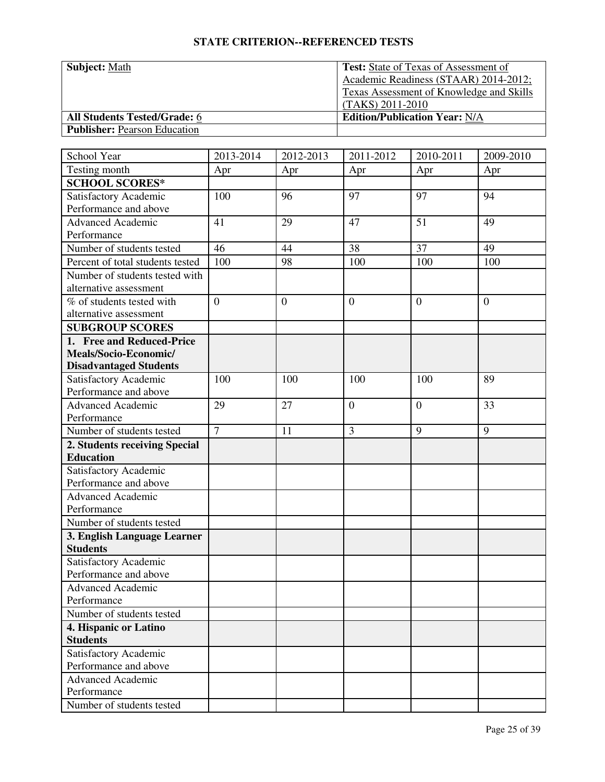| <b>Subject: Math</b>                | <b>Test:</b> State of Texas of Assessment of    |
|-------------------------------------|-------------------------------------------------|
|                                     | Academic Readiness (STAAR) 2014-2012;           |
|                                     | <b>Texas Assessment of Knowledge and Skills</b> |
|                                     | $(TAKS) 2011-2010$                              |
| <b>All Students Tested/Grade: 6</b> | <b>Edition/Publication Year: N/A</b>            |
| <b>Publisher: Pearson Education</b> |                                                 |

| School Year                      | 2013-2014      | $\overline{20}$ 12-2013 | 2011-2012        | 2010-2011    | 2009-2010      |
|----------------------------------|----------------|-------------------------|------------------|--------------|----------------|
| Testing month                    | Apr            | Apr                     | Apr              | Apr          | Apr            |
| <b>SCHOOL SCORES*</b>            |                |                         |                  |              |                |
| Satisfactory Academic            | 100            | 96                      | 97               | 97           | 94             |
| Performance and above            |                |                         |                  |              |                |
| <b>Advanced Academic</b>         | 41             | 29                      | 47               | 51           | 49             |
| Performance                      |                |                         |                  |              |                |
| Number of students tested        | 46             | 44                      | 38               | 37           | 49             |
| Percent of total students tested | 100            | 98                      | 100              | 100          | 100            |
| Number of students tested with   |                |                         |                  |              |                |
| alternative assessment           |                |                         |                  |              |                |
| % of students tested with        | $\overline{0}$ | $\boldsymbol{0}$        | $\boldsymbol{0}$ | $\mathbf{0}$ | $\overline{0}$ |
| alternative assessment           |                |                         |                  |              |                |
| <b>SUBGROUP SCORES</b>           |                |                         |                  |              |                |
| 1. Free and Reduced-Price        |                |                         |                  |              |                |
| Meals/Socio-Economic/            |                |                         |                  |              |                |
| <b>Disadvantaged Students</b>    |                |                         |                  |              |                |
| Satisfactory Academic            | 100            | 100                     | 100              | 100          | 89             |
| Performance and above            |                |                         |                  |              |                |
| <b>Advanced Academic</b>         | 29             | 27                      | $\overline{0}$   | $\mathbf{0}$ | 33             |
| Performance                      |                |                         |                  |              |                |
| Number of students tested        | $\overline{7}$ | 11                      | $\overline{3}$   | 9            | 9              |
| 2. Students receiving Special    |                |                         |                  |              |                |
| <b>Education</b>                 |                |                         |                  |              |                |
| Satisfactory Academic            |                |                         |                  |              |                |
| Performance and above            |                |                         |                  |              |                |
| <b>Advanced Academic</b>         |                |                         |                  |              |                |
| Performance                      |                |                         |                  |              |                |
| Number of students tested        |                |                         |                  |              |                |
| 3. English Language Learner      |                |                         |                  |              |                |
| <b>Students</b>                  |                |                         |                  |              |                |
| Satisfactory Academic            |                |                         |                  |              |                |
| Performance and above            |                |                         |                  |              |                |
| <b>Advanced Academic</b>         |                |                         |                  |              |                |
| Performance                      |                |                         |                  |              |                |
| Number of students tested        |                |                         |                  |              |                |
| 4. Hispanic or Latino            |                |                         |                  |              |                |
| <b>Students</b>                  |                |                         |                  |              |                |
| Satisfactory Academic            |                |                         |                  |              |                |
| Performance and above            |                |                         |                  |              |                |
| <b>Advanced Academic</b>         |                |                         |                  |              |                |
| Performance                      |                |                         |                  |              |                |
| Number of students tested        |                |                         |                  |              |                |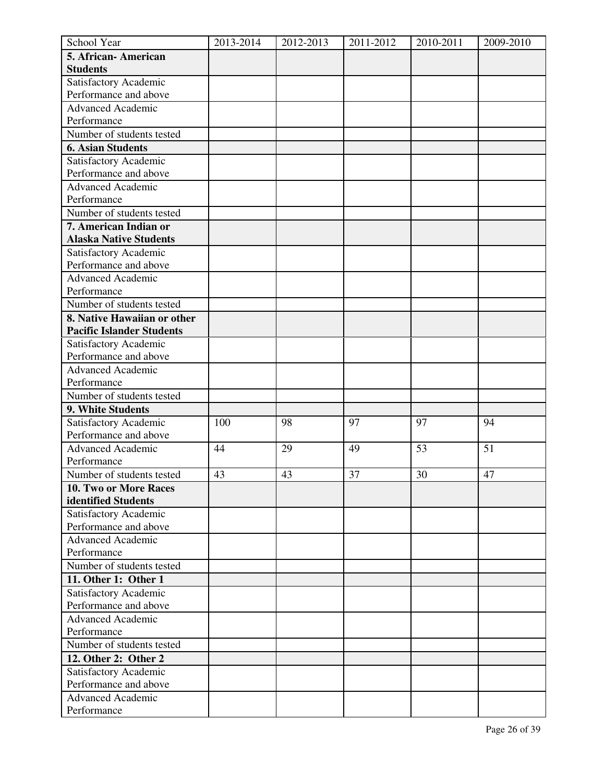| School Year                                    | 2013-2014 | 2012-2013 | 2011-2012 | 2010-2011 | 2009-2010 |
|------------------------------------------------|-----------|-----------|-----------|-----------|-----------|
| 5. African-American                            |           |           |           |           |           |
| <b>Students</b>                                |           |           |           |           |           |
| Satisfactory Academic                          |           |           |           |           |           |
| Performance and above                          |           |           |           |           |           |
| <b>Advanced Academic</b>                       |           |           |           |           |           |
| Performance                                    |           |           |           |           |           |
| Number of students tested                      |           |           |           |           |           |
| <b>6. Asian Students</b>                       |           |           |           |           |           |
| Satisfactory Academic                          |           |           |           |           |           |
| Performance and above                          |           |           |           |           |           |
| <b>Advanced Academic</b>                       |           |           |           |           |           |
| Performance                                    |           |           |           |           |           |
| Number of students tested                      |           |           |           |           |           |
| 7. American Indian or                          |           |           |           |           |           |
| <b>Alaska Native Students</b>                  |           |           |           |           |           |
| Satisfactory Academic                          |           |           |           |           |           |
| Performance and above                          |           |           |           |           |           |
| <b>Advanced Academic</b>                       |           |           |           |           |           |
| Performance                                    |           |           |           |           |           |
| Number of students tested                      |           |           |           |           |           |
| 8. Native Hawaiian or other                    |           |           |           |           |           |
| <b>Pacific Islander Students</b>               |           |           |           |           |           |
| Satisfactory Academic                          |           |           |           |           |           |
| Performance and above                          |           |           |           |           |           |
| <b>Advanced Academic</b>                       |           |           |           |           |           |
| Performance                                    |           |           |           |           |           |
| Number of students tested                      |           |           |           |           |           |
| 9. White Students                              |           |           |           |           |           |
| Satisfactory Academic                          | 100       | 98        | 97        | 97        | 94        |
| Performance and above                          |           |           |           |           |           |
| <b>Advanced Academic</b>                       | 44        | 29        | 49        | 53        | 51        |
| Performance                                    |           |           |           |           |           |
| Number of students tested                      | 43        | 43        | 37        | 30        | 47        |
| 10. Two or More Races                          |           |           |           |           |           |
| identified Students                            |           |           |           |           |           |
| Satisfactory Academic<br>Performance and above |           |           |           |           |           |
| <b>Advanced Academic</b>                       |           |           |           |           |           |
| Performance                                    |           |           |           |           |           |
| Number of students tested                      |           |           |           |           |           |
| 11. Other 1: Other 1                           |           |           |           |           |           |
| Satisfactory Academic                          |           |           |           |           |           |
| Performance and above                          |           |           |           |           |           |
| <b>Advanced Academic</b>                       |           |           |           |           |           |
| Performance                                    |           |           |           |           |           |
| Number of students tested                      |           |           |           |           |           |
| 12. Other 2: Other 2                           |           |           |           |           |           |
| Satisfactory Academic                          |           |           |           |           |           |
| Performance and above                          |           |           |           |           |           |
| <b>Advanced Academic</b>                       |           |           |           |           |           |
| Performance                                    |           |           |           |           |           |
|                                                |           |           |           |           |           |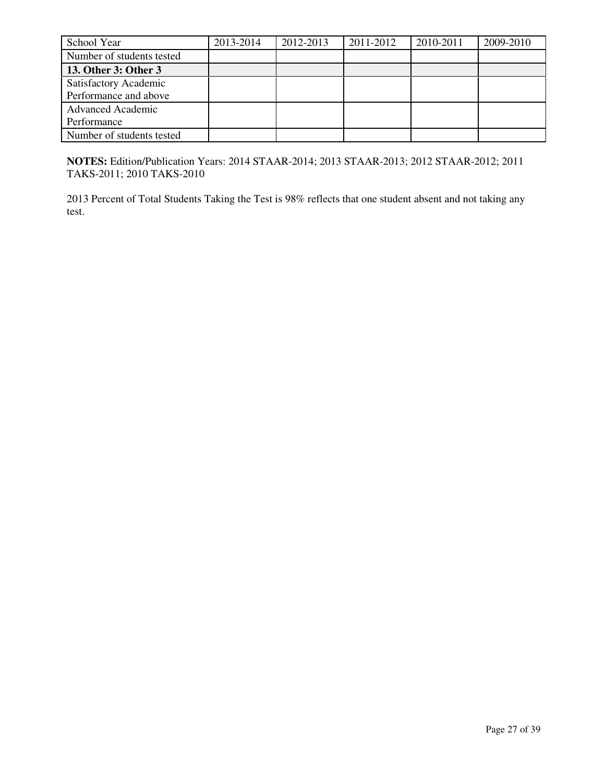| School Year               | 2013-2014 | 2012-2013 | 2011-2012 | 2010-2011 | 2009-2010 |
|---------------------------|-----------|-----------|-----------|-----------|-----------|
| Number of students tested |           |           |           |           |           |
| 13. Other 3: Other 3      |           |           |           |           |           |
| Satisfactory Academic     |           |           |           |           |           |
| Performance and above     |           |           |           |           |           |
| <b>Advanced Academic</b>  |           |           |           |           |           |
| Performance               |           |           |           |           |           |
| Number of students tested |           |           |           |           |           |

**NOTES:** Edition/Publication Years: 2014 STAAR-2014; 2013 STAAR-2013; 2012 STAAR-2012; 2011 TAKS-2011; 2010 TAKS-2010

2013 Percent of Total Students Taking the Test is 98% reflects that one student absent and not taking any test.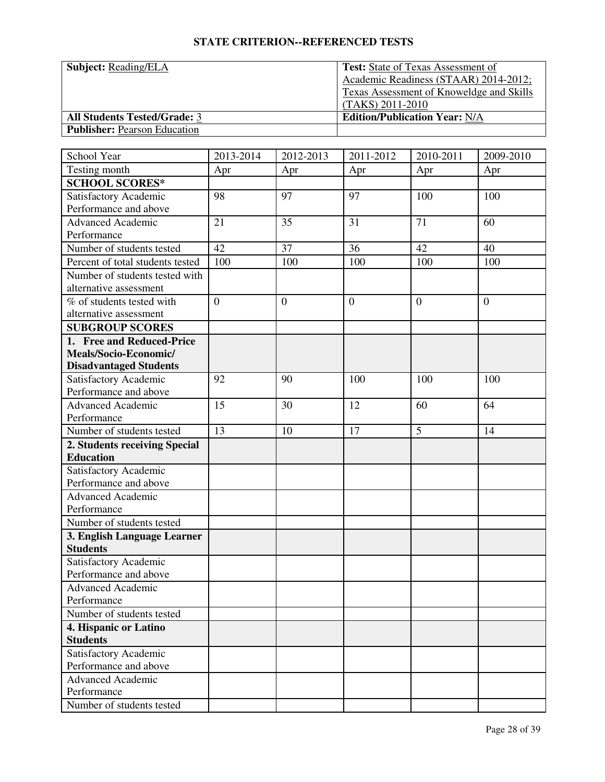| <b>Subject:</b> Reading/ELA         | <b>Test:</b> State of Texas Assessment of       |
|-------------------------------------|-------------------------------------------------|
|                                     | Academic Readiness (STAAR) 2014-2012;           |
|                                     | <b>Texas Assessment of Knoweldge and Skills</b> |
|                                     | $(TAKS) 2011-2010$                              |
| <b>All Students Tested/Grade: 3</b> | <b>Edition/Publication Year: N/A</b>            |
| <b>Publisher:</b> Pearson Education |                                                 |

| School Year                      | 2013-2014      | 2012-2013      | 2011-2012      | 2010-2011 | 2009-2010      |
|----------------------------------|----------------|----------------|----------------|-----------|----------------|
| Testing month                    | Apr            | Apr            | Apr            | Apr       | Apr            |
| <b>SCHOOL SCORES*</b>            |                |                |                |           |                |
| Satisfactory Academic            | 98             | 97             | 97             | 100       | 100            |
| Performance and above            |                |                |                |           |                |
| <b>Advanced Academic</b>         | 21             | 35             | 31             | 71        | 60             |
| Performance                      |                |                |                |           |                |
| Number of students tested        | 42             | 37             | 36             | 42        | 40             |
| Percent of total students tested | 100            | 100            | 100            | 100       | 100            |
| Number of students tested with   |                |                |                |           |                |
| alternative assessment           |                |                |                |           |                |
| % of students tested with        | $\overline{0}$ | $\overline{0}$ | $\overline{0}$ | $\theta$  | $\overline{0}$ |
| alternative assessment           |                |                |                |           |                |
| <b>SUBGROUP SCORES</b>           |                |                |                |           |                |
| 1. Free and Reduced-Price        |                |                |                |           |                |
| Meals/Socio-Economic/            |                |                |                |           |                |
| <b>Disadvantaged Students</b>    |                |                |                |           |                |
| Satisfactory Academic            | 92             | 90             | 100            | 100       | 100            |
| Performance and above            |                |                |                |           |                |
| Advanced Academic                | 15             | 30             | 12             | 60        | 64             |
| Performance                      |                |                |                |           |                |
| Number of students tested        | 13             | 10             | 17             | 5         | 14             |
| 2. Students receiving Special    |                |                |                |           |                |
| <b>Education</b>                 |                |                |                |           |                |
| Satisfactory Academic            |                |                |                |           |                |
| Performance and above            |                |                |                |           |                |
| <b>Advanced Academic</b>         |                |                |                |           |                |
| Performance                      |                |                |                |           |                |
| Number of students tested        |                |                |                |           |                |
| 3. English Language Learner      |                |                |                |           |                |
| <b>Students</b>                  |                |                |                |           |                |
| Satisfactory Academic            |                |                |                |           |                |
| Performance and above            |                |                |                |           |                |
| <b>Advanced Academic</b>         |                |                |                |           |                |
| Performance                      |                |                |                |           |                |
| Number of students tested        |                |                |                |           |                |
| 4. Hispanic or Latino            |                |                |                |           |                |
| <b>Students</b>                  |                |                |                |           |                |
| Satisfactory Academic            |                |                |                |           |                |
| Performance and above            |                |                |                |           |                |
| <b>Advanced Academic</b>         |                |                |                |           |                |
| Performance                      |                |                |                |           |                |
| Number of students tested        |                |                |                |           |                |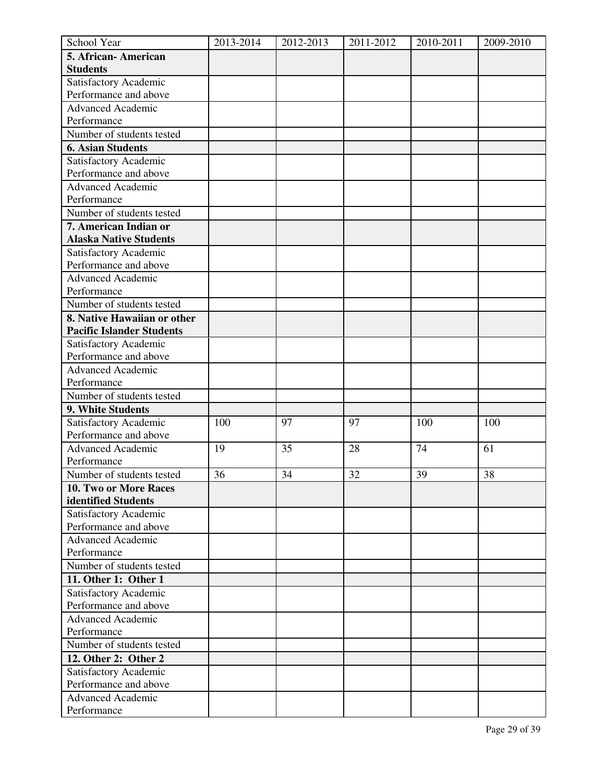| School Year                      | 2013-2014 | 2012-2013 | 2011-2012 | 2010-2011 | 2009-2010 |
|----------------------------------|-----------|-----------|-----------|-----------|-----------|
| 5. African-American              |           |           |           |           |           |
| <b>Students</b>                  |           |           |           |           |           |
| Satisfactory Academic            |           |           |           |           |           |
| Performance and above            |           |           |           |           |           |
| <b>Advanced Academic</b>         |           |           |           |           |           |
| Performance                      |           |           |           |           |           |
| Number of students tested        |           |           |           |           |           |
| <b>6. Asian Students</b>         |           |           |           |           |           |
| Satisfactory Academic            |           |           |           |           |           |
| Performance and above            |           |           |           |           |           |
| <b>Advanced Academic</b>         |           |           |           |           |           |
| Performance                      |           |           |           |           |           |
| Number of students tested        |           |           |           |           |           |
| 7. American Indian or            |           |           |           |           |           |
| <b>Alaska Native Students</b>    |           |           |           |           |           |
| Satisfactory Academic            |           |           |           |           |           |
| Performance and above            |           |           |           |           |           |
| <b>Advanced Academic</b>         |           |           |           |           |           |
| Performance                      |           |           |           |           |           |
| Number of students tested        |           |           |           |           |           |
| 8. Native Hawaiian or other      |           |           |           |           |           |
| <b>Pacific Islander Students</b> |           |           |           |           |           |
| Satisfactory Academic            |           |           |           |           |           |
| Performance and above            |           |           |           |           |           |
| <b>Advanced Academic</b>         |           |           |           |           |           |
| Performance                      |           |           |           |           |           |
| Number of students tested        |           |           |           |           |           |
| 9. White Students                |           |           |           |           |           |
| Satisfactory Academic            | 100       | 97        | 97        | 100       | 100       |
| Performance and above            |           |           |           |           |           |
| <b>Advanced Academic</b>         | 19        | 35        | 28        | 74        | 61        |
| Performance                      |           |           |           |           |           |
| Number of students tested        | 36        | 34        | 32        | 39        | 38        |
| 10. Two or More Races            |           |           |           |           |           |
| identified Students              |           |           |           |           |           |
| Satisfactory Academic            |           |           |           |           |           |
| Performance and above            |           |           |           |           |           |
| <b>Advanced Academic</b>         |           |           |           |           |           |
| Performance                      |           |           |           |           |           |
| Number of students tested        |           |           |           |           |           |
| 11. Other 1: Other 1             |           |           |           |           |           |
| Satisfactory Academic            |           |           |           |           |           |
| Performance and above            |           |           |           |           |           |
| <b>Advanced Academic</b>         |           |           |           |           |           |
| Performance                      |           |           |           |           |           |
| Number of students tested        |           |           |           |           |           |
| 12. Other 2: Other 2             |           |           |           |           |           |
| Satisfactory Academic            |           |           |           |           |           |
| Performance and above            |           |           |           |           |           |
| <b>Advanced Academic</b>         |           |           |           |           |           |
| Performance                      |           |           |           |           |           |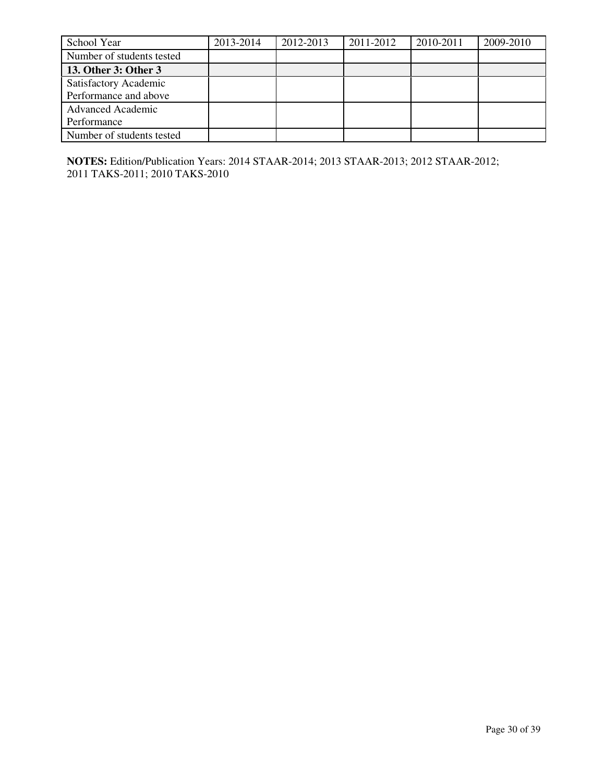| School Year               | 2013-2014 | 2012-2013 | 2011-2012 | 2010-2011 | 2009-2010 |
|---------------------------|-----------|-----------|-----------|-----------|-----------|
| Number of students tested |           |           |           |           |           |
| 13. Other 3: Other 3      |           |           |           |           |           |
| Satisfactory Academic     |           |           |           |           |           |
| Performance and above     |           |           |           |           |           |
| <b>Advanced Academic</b>  |           |           |           |           |           |
| Performance               |           |           |           |           |           |
| Number of students tested |           |           |           |           |           |

**NOTES:** Edition/Publication Years: 2014 STAAR-2014; 2013 STAAR-2013; 2012 STAAR-2012; 2011 TAKS-2011; 2010 TAKS-2010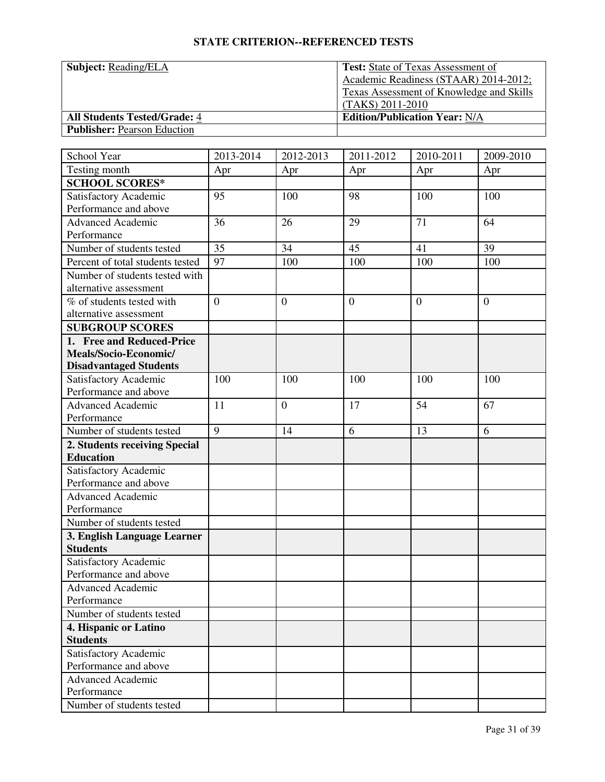| <b>Subject: Reading/ELA</b>         | <b>Test:</b> State of Texas Assessment of       |
|-------------------------------------|-------------------------------------------------|
|                                     | Academic Readiness (STAAR) 2014-2012;           |
|                                     | <b>Texas Assessment of Knowledge and Skills</b> |
|                                     | (TAKS) 2011-2010                                |
| <b>All Students Tested/Grade: 4</b> | <b>Edition/Publication Year: N/A</b>            |
| <b>Publisher:</b> Pearson Eduction  |                                                 |

| School Year                      | 2013-2014      | 2012-2013      | 2011-2012      | 2010-2011 | 2009-2010      |
|----------------------------------|----------------|----------------|----------------|-----------|----------------|
| Testing month                    | Apr            | Apr            | Apr            | Apr       | Apr            |
| <b>SCHOOL SCORES*</b>            |                |                |                |           |                |
| Satisfactory Academic            | 95             | 100            | 98             | 100       | 100            |
| Performance and above            |                |                |                |           |                |
| <b>Advanced Academic</b>         | 36             | 26             | 29             | 71        | 64             |
| Performance                      |                |                |                |           |                |
| Number of students tested        | 35             | 34             | 45             | 41        | 39             |
| Percent of total students tested | 97             | 100            | 100            | 100       | 100            |
| Number of students tested with   |                |                |                |           |                |
| alternative assessment           |                |                |                |           |                |
| % of students tested with        | $\overline{0}$ | $\overline{0}$ | $\overline{0}$ | $\theta$  | $\overline{0}$ |
| alternative assessment           |                |                |                |           |                |
| <b>SUBGROUP SCORES</b>           |                |                |                |           |                |
| 1. Free and Reduced-Price        |                |                |                |           |                |
| Meals/Socio-Economic/            |                |                |                |           |                |
| <b>Disadvantaged Students</b>    |                |                |                |           |                |
| Satisfactory Academic            | 100            | 100            | 100            | 100       | 100            |
| Performance and above            |                |                |                |           |                |
| Advanced Academic                | 11             | $\overline{0}$ | 17             | 54        | 67             |
| Performance                      |                |                |                |           |                |
| Number of students tested        | $\overline{9}$ | 14             | 6              | 13        | 6              |
| 2. Students receiving Special    |                |                |                |           |                |
| <b>Education</b>                 |                |                |                |           |                |
| Satisfactory Academic            |                |                |                |           |                |
| Performance and above            |                |                |                |           |                |
| <b>Advanced Academic</b>         |                |                |                |           |                |
| Performance                      |                |                |                |           |                |
| Number of students tested        |                |                |                |           |                |
| 3. English Language Learner      |                |                |                |           |                |
| <b>Students</b>                  |                |                |                |           |                |
| Satisfactory Academic            |                |                |                |           |                |
| Performance and above            |                |                |                |           |                |
| <b>Advanced Academic</b>         |                |                |                |           |                |
| Performance                      |                |                |                |           |                |
| Number of students tested        |                |                |                |           |                |
| 4. Hispanic or Latino            |                |                |                |           |                |
| <b>Students</b>                  |                |                |                |           |                |
| Satisfactory Academic            |                |                |                |           |                |
| Performance and above            |                |                |                |           |                |
| <b>Advanced Academic</b>         |                |                |                |           |                |
| Performance                      |                |                |                |           |                |
| Number of students tested        |                |                |                |           |                |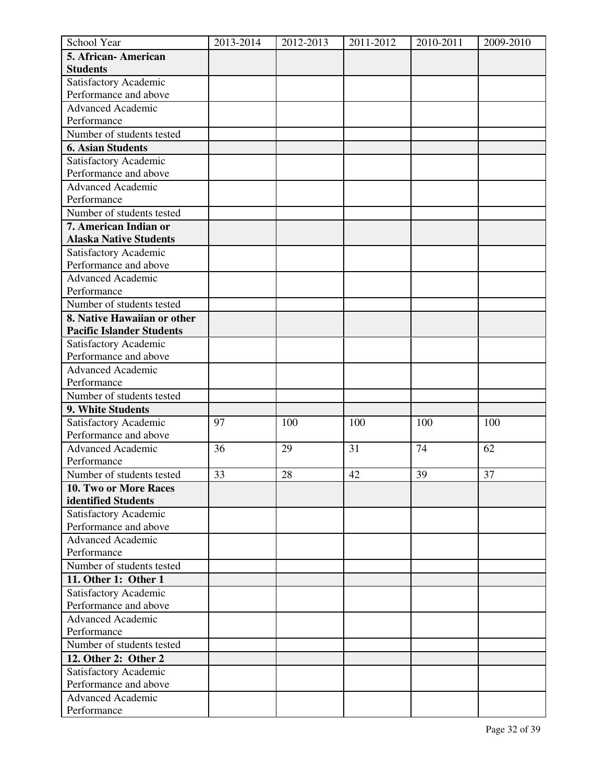| School Year                      | 2013-2014 | 2012-2013 | 2011-2012 | 2010-2011 | 2009-2010 |
|----------------------------------|-----------|-----------|-----------|-----------|-----------|
| 5. African-American              |           |           |           |           |           |
| <b>Students</b>                  |           |           |           |           |           |
| Satisfactory Academic            |           |           |           |           |           |
| Performance and above            |           |           |           |           |           |
| <b>Advanced Academic</b>         |           |           |           |           |           |
| Performance                      |           |           |           |           |           |
| Number of students tested        |           |           |           |           |           |
| <b>6. Asian Students</b>         |           |           |           |           |           |
| Satisfactory Academic            |           |           |           |           |           |
| Performance and above            |           |           |           |           |           |
| <b>Advanced Academic</b>         |           |           |           |           |           |
| Performance                      |           |           |           |           |           |
| Number of students tested        |           |           |           |           |           |
| 7. American Indian or            |           |           |           |           |           |
| <b>Alaska Native Students</b>    |           |           |           |           |           |
| Satisfactory Academic            |           |           |           |           |           |
| Performance and above            |           |           |           |           |           |
| <b>Advanced Academic</b>         |           |           |           |           |           |
| Performance                      |           |           |           |           |           |
| Number of students tested        |           |           |           |           |           |
| 8. Native Hawaiian or other      |           |           |           |           |           |
| <b>Pacific Islander Students</b> |           |           |           |           |           |
| Satisfactory Academic            |           |           |           |           |           |
| Performance and above            |           |           |           |           |           |
| <b>Advanced Academic</b>         |           |           |           |           |           |
| Performance                      |           |           |           |           |           |
| Number of students tested        |           |           |           |           |           |
| 9. White Students                |           |           |           |           |           |
| Satisfactory Academic            | 97        | 100       | 100       | 100       | 100       |
| Performance and above            |           |           |           |           |           |
| <b>Advanced Academic</b>         | 36        | 29        | 31        | 74        | 62        |
| Performance                      |           |           |           |           |           |
| Number of students tested        | 33        | 28        | 42        | 39        | 37        |
| 10. Two or More Races            |           |           |           |           |           |
| identified Students              |           |           |           |           |           |
| Satisfactory Academic            |           |           |           |           |           |
| Performance and above            |           |           |           |           |           |
| <b>Advanced Academic</b>         |           |           |           |           |           |
| Performance                      |           |           |           |           |           |
| Number of students tested        |           |           |           |           |           |
| 11. Other 1: Other 1             |           |           |           |           |           |
| Satisfactory Academic            |           |           |           |           |           |
| Performance and above            |           |           |           |           |           |
| <b>Advanced Academic</b>         |           |           |           |           |           |
| Performance                      |           |           |           |           |           |
| Number of students tested        |           |           |           |           |           |
| 12. Other 2: Other 2             |           |           |           |           |           |
| Satisfactory Academic            |           |           |           |           |           |
| Performance and above            |           |           |           |           |           |
| <b>Advanced Academic</b>         |           |           |           |           |           |
| Performance                      |           |           |           |           |           |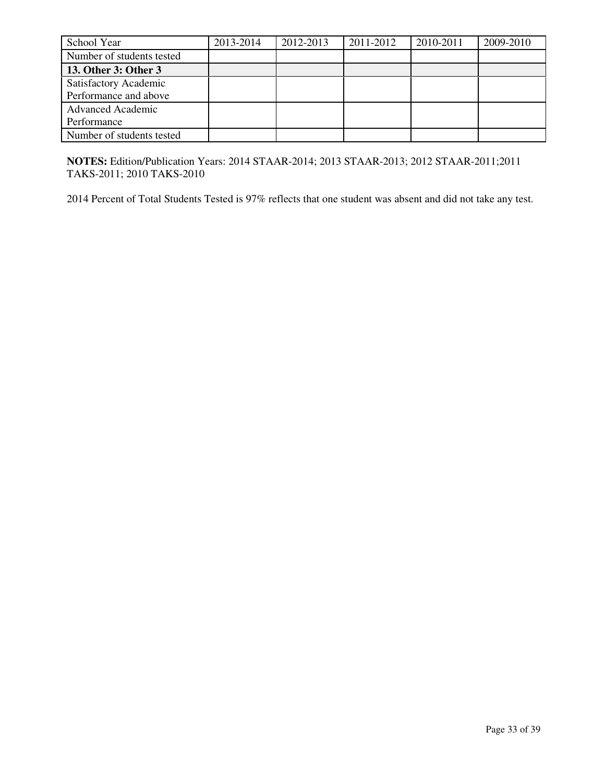| School Year               | 2013-2014 | 2012-2013 | 2011-2012 | 2010-2011 | 2009-2010 |
|---------------------------|-----------|-----------|-----------|-----------|-----------|
| Number of students tested |           |           |           |           |           |
| 13. Other 3: Other 3      |           |           |           |           |           |
| Satisfactory Academic     |           |           |           |           |           |
| Performance and above     |           |           |           |           |           |
| <b>Advanced Academic</b>  |           |           |           |           |           |
| Performance               |           |           |           |           |           |
| Number of students tested |           |           |           |           |           |

**NOTES:** Edition/Publication Years: 2014 STAAR-2014; 2013 STAAR-2013; 2012 STAAR-2011;2011 TAKS-2011; 2010 TAKS-2010

2014 Percent of Total Students Tested is 97% reflects that one student was absent and did not take any test.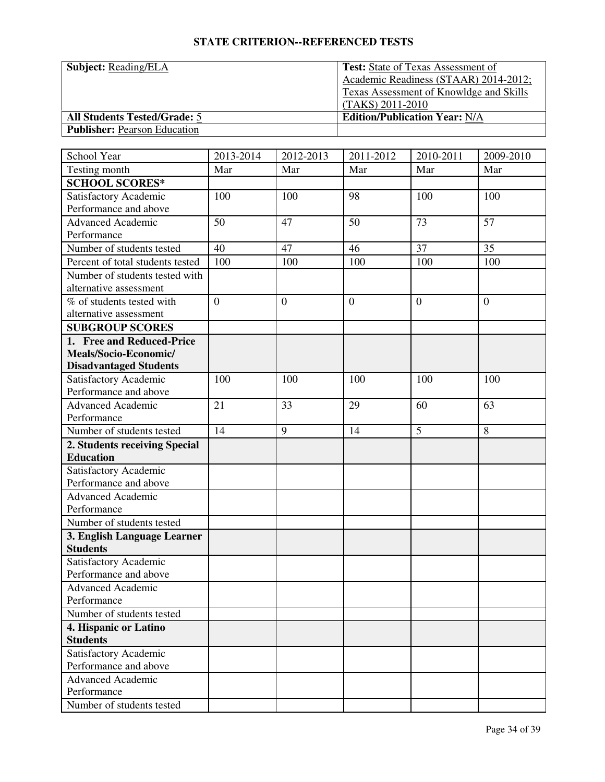| <b>Subject:</b> Reading/ELA         | <b>Test:</b> State of Texas Assessment of      |
|-------------------------------------|------------------------------------------------|
|                                     | Academic Readiness (STAAR) 2014-2012;          |
|                                     | <b>Texas Assessment of Knowldge and Skills</b> |
|                                     | $(TAKS) 2011-2010$                             |
| <b>All Students Tested/Grade: 5</b> | <b>Edition/Publication Year: N/A</b>           |
| <b>Publisher:</b> Pearson Education |                                                |

| School Year                      | 2013-2014      | 2012-2013        | 2011-2012        | 2010-2011      | 2009-2010      |
|----------------------------------|----------------|------------------|------------------|----------------|----------------|
| Testing month                    | Mar            | Mar              | Mar              | Mar            | Mar            |
| <b>SCHOOL SCORES*</b>            |                |                  |                  |                |                |
| Satisfactory Academic            | 100            | 100              | 98               | 100            | 100            |
| Performance and above            |                |                  |                  |                |                |
| <b>Advanced Academic</b>         | 50             | 47               | 50               | 73             | 57             |
| Performance                      |                |                  |                  |                |                |
| Number of students tested        | 40             | 47               | 46               | 37             | 35             |
| Percent of total students tested | 100            | 100              | 100              | 100            | 100            |
| Number of students tested with   |                |                  |                  |                |                |
| alternative assessment           |                |                  |                  |                |                |
| % of students tested with        | $\overline{0}$ | $\boldsymbol{0}$ | $\boldsymbol{0}$ | $\overline{0}$ | $\overline{0}$ |
| alternative assessment           |                |                  |                  |                |                |
| <b>SUBGROUP SCORES</b>           |                |                  |                  |                |                |
| 1. Free and Reduced-Price        |                |                  |                  |                |                |
| Meals/Socio-Economic/            |                |                  |                  |                |                |
| <b>Disadvantaged Students</b>    |                |                  |                  |                |                |
| <b>Satisfactory Academic</b>     | 100            | 100              | 100              | 100            | 100            |
| Performance and above            |                |                  |                  |                |                |
| <b>Advanced Academic</b>         | 21             | 33               | 29               | 60             | 63             |
| Performance                      |                |                  |                  |                |                |
| Number of students tested        | 14             | 9                | 14               | 5              | 8              |
| 2. Students receiving Special    |                |                  |                  |                |                |
| <b>Education</b>                 |                |                  |                  |                |                |
| Satisfactory Academic            |                |                  |                  |                |                |
| Performance and above            |                |                  |                  |                |                |
| <b>Advanced Academic</b>         |                |                  |                  |                |                |
| Performance                      |                |                  |                  |                |                |
| Number of students tested        |                |                  |                  |                |                |
| 3. English Language Learner      |                |                  |                  |                |                |
| <b>Students</b>                  |                |                  |                  |                |                |
| Satisfactory Academic            |                |                  |                  |                |                |
| Performance and above            |                |                  |                  |                |                |
| <b>Advanced Academic</b>         |                |                  |                  |                |                |
| Performance                      |                |                  |                  |                |                |
| Number of students tested        |                |                  |                  |                |                |
| 4. Hispanic or Latino            |                |                  |                  |                |                |
| <b>Students</b>                  |                |                  |                  |                |                |
| Satisfactory Academic            |                |                  |                  |                |                |
| Performance and above            |                |                  |                  |                |                |
| <b>Advanced Academic</b>         |                |                  |                  |                |                |
| Performance                      |                |                  |                  |                |                |
| Number of students tested        |                |                  |                  |                |                |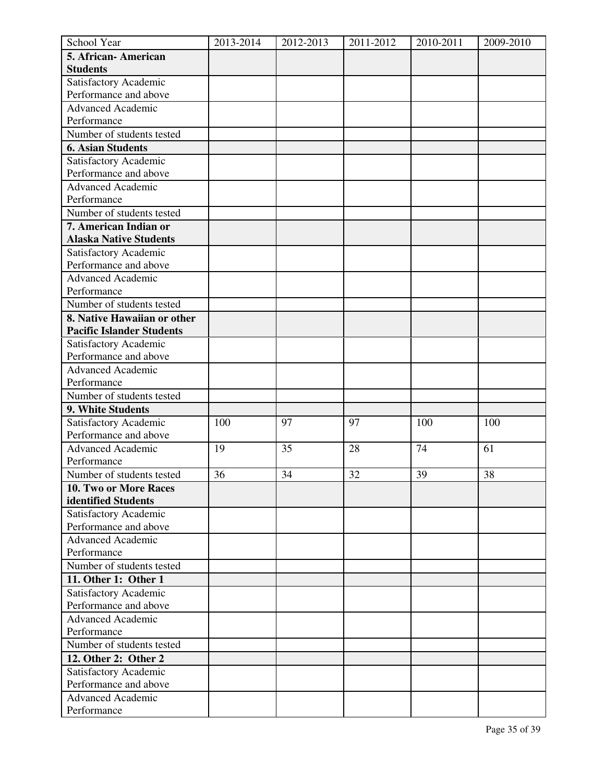| School Year                      | 2013-2014 | 2012-2013 | 2011-2012 | 2010-2011 | 2009-2010 |
|----------------------------------|-----------|-----------|-----------|-----------|-----------|
| 5. African-American              |           |           |           |           |           |
| <b>Students</b>                  |           |           |           |           |           |
| Satisfactory Academic            |           |           |           |           |           |
| Performance and above            |           |           |           |           |           |
| <b>Advanced Academic</b>         |           |           |           |           |           |
| Performance                      |           |           |           |           |           |
| Number of students tested        |           |           |           |           |           |
| <b>6. Asian Students</b>         |           |           |           |           |           |
| Satisfactory Academic            |           |           |           |           |           |
| Performance and above            |           |           |           |           |           |
| <b>Advanced Academic</b>         |           |           |           |           |           |
| Performance                      |           |           |           |           |           |
| Number of students tested        |           |           |           |           |           |
| 7. American Indian or            |           |           |           |           |           |
| <b>Alaska Native Students</b>    |           |           |           |           |           |
| Satisfactory Academic            |           |           |           |           |           |
| Performance and above            |           |           |           |           |           |
| <b>Advanced Academic</b>         |           |           |           |           |           |
| Performance                      |           |           |           |           |           |
| Number of students tested        |           |           |           |           |           |
| 8. Native Hawaiian or other      |           |           |           |           |           |
| <b>Pacific Islander Students</b> |           |           |           |           |           |
| Satisfactory Academic            |           |           |           |           |           |
| Performance and above            |           |           |           |           |           |
| <b>Advanced Academic</b>         |           |           |           |           |           |
| Performance                      |           |           |           |           |           |
| Number of students tested        |           |           |           |           |           |
| 9. White Students                |           |           |           |           |           |
| Satisfactory Academic            | 100       | 97        | 97        | 100       | 100       |
| Performance and above            |           |           |           |           |           |
| <b>Advanced Academic</b>         | 19        | 35        | 28        | 74        | 61        |
| Performance                      |           |           |           |           |           |
| Number of students tested        | 36        | 34        | 32        | 39        | 38        |
| 10. Two or More Races            |           |           |           |           |           |
| identified Students              |           |           |           |           |           |
| Satisfactory Academic            |           |           |           |           |           |
| Performance and above            |           |           |           |           |           |
| <b>Advanced Academic</b>         |           |           |           |           |           |
| Performance                      |           |           |           |           |           |
| Number of students tested        |           |           |           |           |           |
| 11. Other 1: Other 1             |           |           |           |           |           |
| Satisfactory Academic            |           |           |           |           |           |
| Performance and above            |           |           |           |           |           |
| <b>Advanced Academic</b>         |           |           |           |           |           |
| Performance                      |           |           |           |           |           |
| Number of students tested        |           |           |           |           |           |
| 12. Other 2: Other 2             |           |           |           |           |           |
| Satisfactory Academic            |           |           |           |           |           |
| Performance and above            |           |           |           |           |           |
| <b>Advanced Academic</b>         |           |           |           |           |           |
| Performance                      |           |           |           |           |           |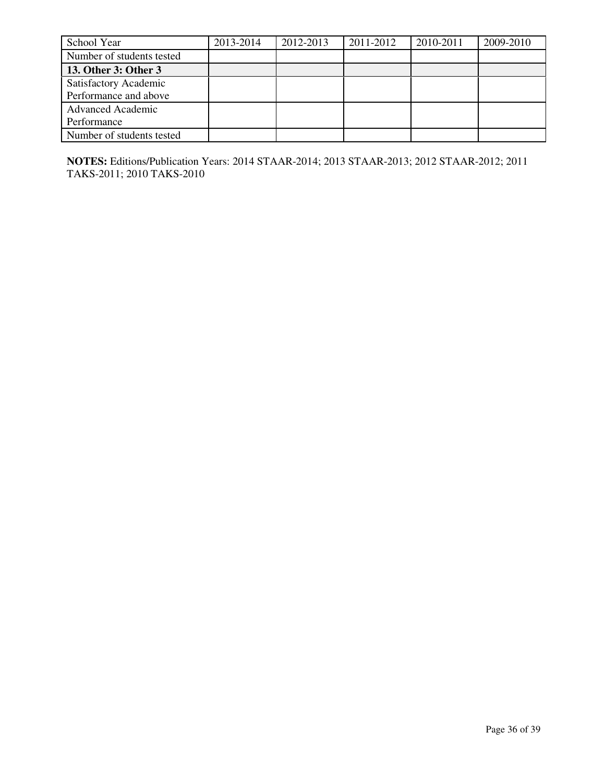| School Year               | 2013-2014 | 2012-2013 | 2011-2012 | 2010-2011 | 2009-2010 |
|---------------------------|-----------|-----------|-----------|-----------|-----------|
| Number of students tested |           |           |           |           |           |
| 13. Other 3: Other 3      |           |           |           |           |           |
| Satisfactory Academic     |           |           |           |           |           |
| Performance and above     |           |           |           |           |           |
| <b>Advanced Academic</b>  |           |           |           |           |           |
| Performance               |           |           |           |           |           |
| Number of students tested |           |           |           |           |           |

**NOTES:** Editions/Publication Years: 2014 STAAR-2014; 2013 STAAR-2013; 2012 STAAR-2012; 2011 TAKS-2011; 2010 TAKS-2010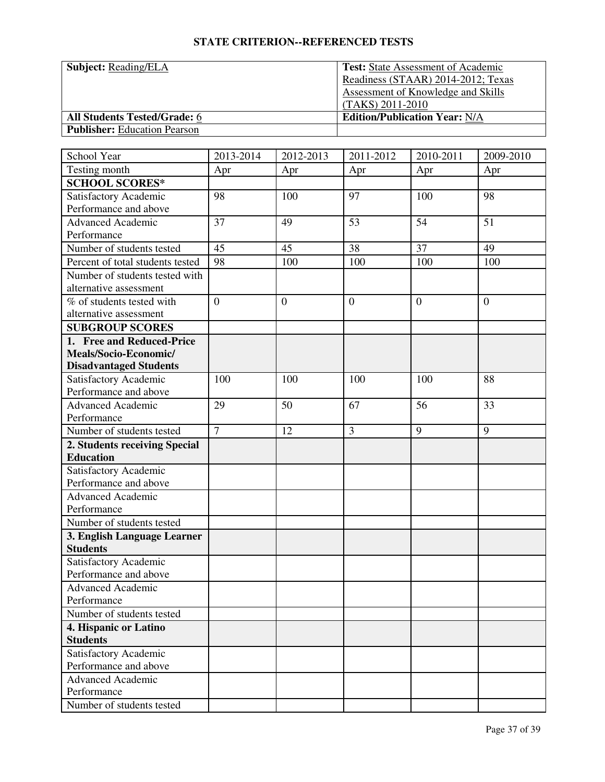| <b>Subject:</b> Reading/ELA         | <b>Test:</b> State Assessment of Academic |
|-------------------------------------|-------------------------------------------|
|                                     | Readiness (STAAR) 2014-2012; Texas        |
|                                     | <b>Assessment of Knowledge and Skills</b> |
|                                     | (TAKS) 2011-2010                          |
| <b>All Students Tested/Grade: 6</b> | <b>Edition/Publication Year: N/A</b>      |
| <b>Publisher:</b> Education Pearson |                                           |

| School Year                                    | 2013-2014      | 2012-2013      | 2011-2012      | 2010-2011      | 2009-2010    |
|------------------------------------------------|----------------|----------------|----------------|----------------|--------------|
| Testing month                                  | Apr            | Apr            | Apr            | Apr            | Apr          |
| <b>SCHOOL SCORES*</b>                          |                |                |                |                |              |
| Satisfactory Academic                          | 98             | 100            | 97             | 100            | 98           |
| Performance and above                          |                |                |                |                |              |
| Advanced Academic                              | 37             | 49             | 53             | 54             | 51           |
| Performance                                    |                |                |                |                |              |
| Number of students tested                      | 45             | 45             | 38             | 37             | 49           |
| Percent of total students tested               | 98             | 100            | 100            | 100            | 100          |
| Number of students tested with                 |                |                |                |                |              |
| alternative assessment                         |                |                |                |                |              |
| % of students tested with                      | $\overline{0}$ | $\overline{0}$ | $\overline{0}$ | $\overline{0}$ | $\mathbf{0}$ |
| alternative assessment                         |                |                |                |                |              |
| <b>SUBGROUP SCORES</b>                         |                |                |                |                |              |
| 1. Free and Reduced-Price                      |                |                |                |                |              |
| Meals/Socio-Economic/                          |                |                |                |                |              |
| <b>Disadvantaged Students</b>                  |                |                |                |                |              |
| Satisfactory Academic                          | 100            | 100            | 100            | 100            | 88           |
| Performance and above                          |                |                |                |                |              |
| <b>Advanced Academic</b>                       | 29             | 50             | 67             | 56             | 33           |
| Performance                                    |                |                |                |                |              |
| Number of students tested                      | $\overline{7}$ | 12             | $\overline{3}$ | 9              | 9            |
| 2. Students receiving Special                  |                |                |                |                |              |
| <b>Education</b>                               |                |                |                |                |              |
| Satisfactory Academic                          |                |                |                |                |              |
| Performance and above                          |                |                |                |                |              |
| <b>Advanced Academic</b>                       |                |                |                |                |              |
| Performance                                    |                |                |                |                |              |
| Number of students tested                      |                |                |                |                |              |
| 3. English Language Learner                    |                |                |                |                |              |
| <b>Students</b>                                |                |                |                |                |              |
| Satisfactory Academic                          |                |                |                |                |              |
| Performance and above                          |                |                |                |                |              |
| Advanced Academic<br>Performance               |                |                |                |                |              |
|                                                |                |                |                |                |              |
| Number of students tested                      |                |                |                |                |              |
| 4. Hispanic or Latino                          |                |                |                |                |              |
| <b>Students</b>                                |                |                |                |                |              |
| Satisfactory Academic<br>Performance and above |                |                |                |                |              |
| Advanced Academic                              |                |                |                |                |              |
| Performance                                    |                |                |                |                |              |
| Number of students tested                      |                |                |                |                |              |
|                                                |                |                |                |                |              |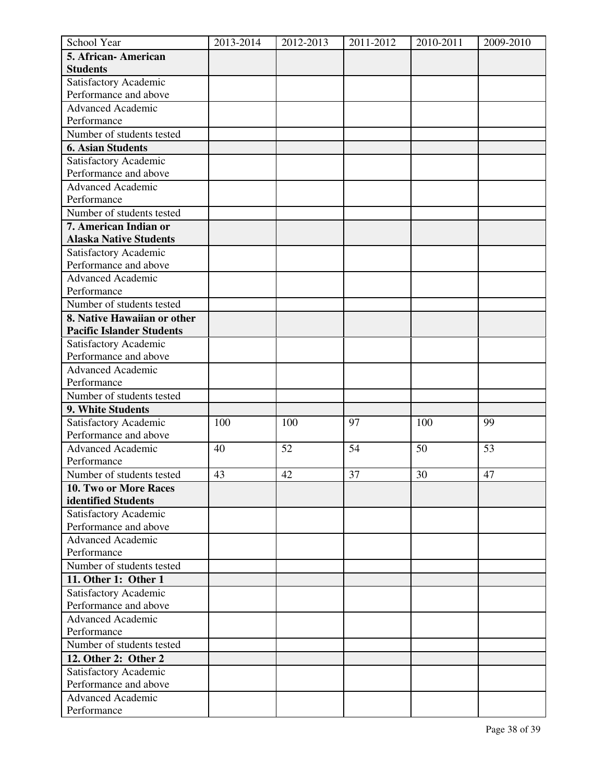| School Year                      | 2013-2014 | 2012-2013 | 2011-2012 | 2010-2011 | 2009-2010 |
|----------------------------------|-----------|-----------|-----------|-----------|-----------|
| 5. African-American              |           |           |           |           |           |
| <b>Students</b>                  |           |           |           |           |           |
| Satisfactory Academic            |           |           |           |           |           |
| Performance and above            |           |           |           |           |           |
| <b>Advanced Academic</b>         |           |           |           |           |           |
| Performance                      |           |           |           |           |           |
| Number of students tested        |           |           |           |           |           |
| <b>6. Asian Students</b>         |           |           |           |           |           |
| Satisfactory Academic            |           |           |           |           |           |
| Performance and above            |           |           |           |           |           |
| <b>Advanced Academic</b>         |           |           |           |           |           |
| Performance                      |           |           |           |           |           |
| Number of students tested        |           |           |           |           |           |
| 7. American Indian or            |           |           |           |           |           |
| <b>Alaska Native Students</b>    |           |           |           |           |           |
| Satisfactory Academic            |           |           |           |           |           |
| Performance and above            |           |           |           |           |           |
| <b>Advanced Academic</b>         |           |           |           |           |           |
| Performance                      |           |           |           |           |           |
| Number of students tested        |           |           |           |           |           |
| 8. Native Hawaiian or other      |           |           |           |           |           |
| <b>Pacific Islander Students</b> |           |           |           |           |           |
| Satisfactory Academic            |           |           |           |           |           |
| Performance and above            |           |           |           |           |           |
| <b>Advanced Academic</b>         |           |           |           |           |           |
| Performance                      |           |           |           |           |           |
| Number of students tested        |           |           |           |           |           |
| 9. White Students                |           |           |           |           |           |
| Satisfactory Academic            | 100       | 100       | 97        | 100       | 99        |
| Performance and above            |           |           |           |           |           |
| <b>Advanced Academic</b>         | 40        | 52        | 54        | 50        | 53        |
| Performance                      |           |           |           |           |           |
| Number of students tested        | 43        | 42        | 37        | 30        | 47        |
| 10. Two or More Races            |           |           |           |           |           |
| identified Students              |           |           |           |           |           |
| Satisfactory Academic            |           |           |           |           |           |
| Performance and above            |           |           |           |           |           |
| <b>Advanced Academic</b>         |           |           |           |           |           |
| Performance                      |           |           |           |           |           |
| Number of students tested        |           |           |           |           |           |
| 11. Other 1: Other 1             |           |           |           |           |           |
| Satisfactory Academic            |           |           |           |           |           |
| Performance and above            |           |           |           |           |           |
| <b>Advanced Academic</b>         |           |           |           |           |           |
| Performance                      |           |           |           |           |           |
| Number of students tested        |           |           |           |           |           |
| 12. Other 2: Other 2             |           |           |           |           |           |
| Satisfactory Academic            |           |           |           |           |           |
| Performance and above            |           |           |           |           |           |
| <b>Advanced Academic</b>         |           |           |           |           |           |
| Performance                      |           |           |           |           |           |